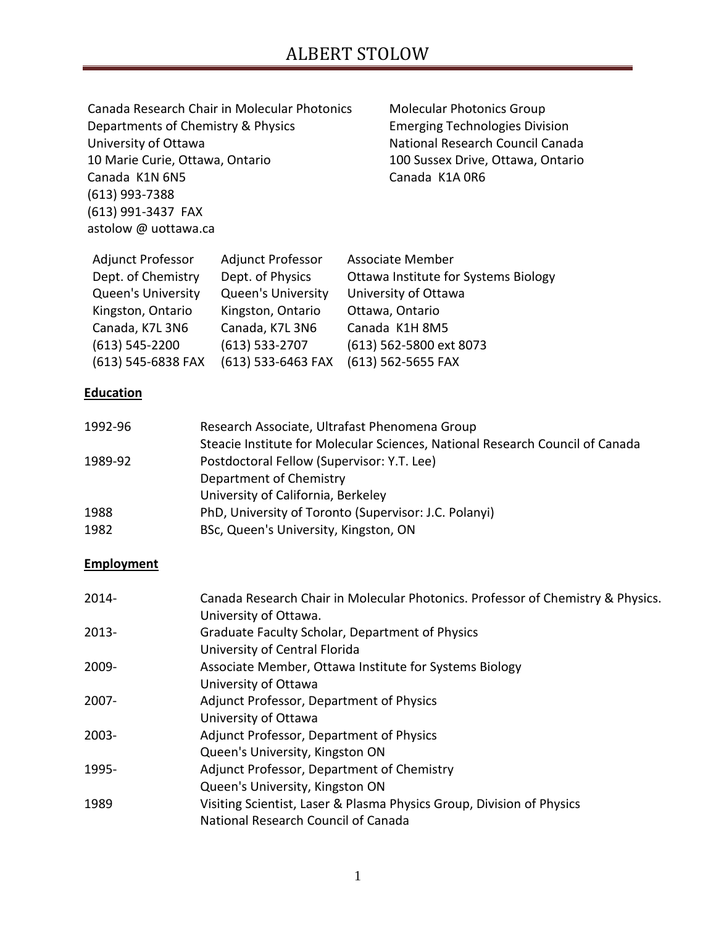|                                    | Canada Research Chair in Molecular Photonics             | <b>Molecular Photonics Group</b>      |
|------------------------------------|----------------------------------------------------------|---------------------------------------|
| Departments of Chemistry & Physics |                                                          | <b>Emerging Technologies Division</b> |
| University of Ottawa               |                                                          | National Research Council Canada      |
| 10 Marie Curie, Ottawa, Ontario    |                                                          | 100 Sussex Drive, Ottawa, Ontario     |
| Canada K1N 6N5                     |                                                          | Canada K1A OR6                        |
| $(613)$ 993-7388                   |                                                          |                                       |
| (613) 991-3437 FAX                 |                                                          |                                       |
| astolow @ uottawa.ca               |                                                          |                                       |
|                                    | Adjunct Professor - Adjunct Professor - Associate Member |                                       |

| <b>Adjunct Professor</b>  | <b>Adjunct Professor</b>  | Associate Member                     |
|---------------------------|---------------------------|--------------------------------------|
| Dept. of Chemistry        | Dept. of Physics          | Ottawa Institute for Systems Biology |
| <b>Queen's University</b> | <b>Queen's University</b> | University of Ottawa                 |
| Kingston, Ontario         | Kingston, Ontario         | Ottawa, Ontario                      |
| Canada, K7L 3N6           | Canada, K7L 3N6           | Canada K1H 8M5                       |
| $(613) 545 - 2200$        | $(613)$ 533-2707          | (613) 562-5800 ext 8073              |
| (613) 545-6838 FAX        | (613) 533-6463 FAX        | (613) 562-5655 FAX                   |

### **Education**

| 1992-96 | Research Associate, Ultrafast Phenomena Group                                 |
|---------|-------------------------------------------------------------------------------|
|         | Steacie Institute for Molecular Sciences, National Research Council of Canada |
| 1989-92 | Postdoctoral Fellow (Supervisor: Y.T. Lee)                                    |
|         | Department of Chemistry                                                       |
|         | University of California, Berkeley                                            |
| 1988    | PhD, University of Toronto (Supervisor: J.C. Polanyi)                         |
| 1982    | BSc, Queen's University, Kingston, ON                                         |

### **Employment**

| 2014- | Canada Research Chair in Molecular Photonics. Professor of Chemistry & Physics.<br>University of Ottawa. |
|-------|----------------------------------------------------------------------------------------------------------|
| 2013- | Graduate Faculty Scholar, Department of Physics<br>University of Central Florida                         |
| 2009- | Associate Member, Ottawa Institute for Systems Biology                                                   |
| 2007- | University of Ottawa<br>Adjunct Professor, Department of Physics                                         |
|       | University of Ottawa                                                                                     |
| 2003- | Adjunct Professor, Department of Physics                                                                 |
|       | Queen's University, Kingston ON                                                                          |
| 1995- | Adjunct Professor, Department of Chemistry                                                               |
|       | Queen's University, Kingston ON                                                                          |
| 1989  | Visiting Scientist, Laser & Plasma Physics Group, Division of Physics                                    |
|       | National Research Council of Canada                                                                      |
|       |                                                                                                          |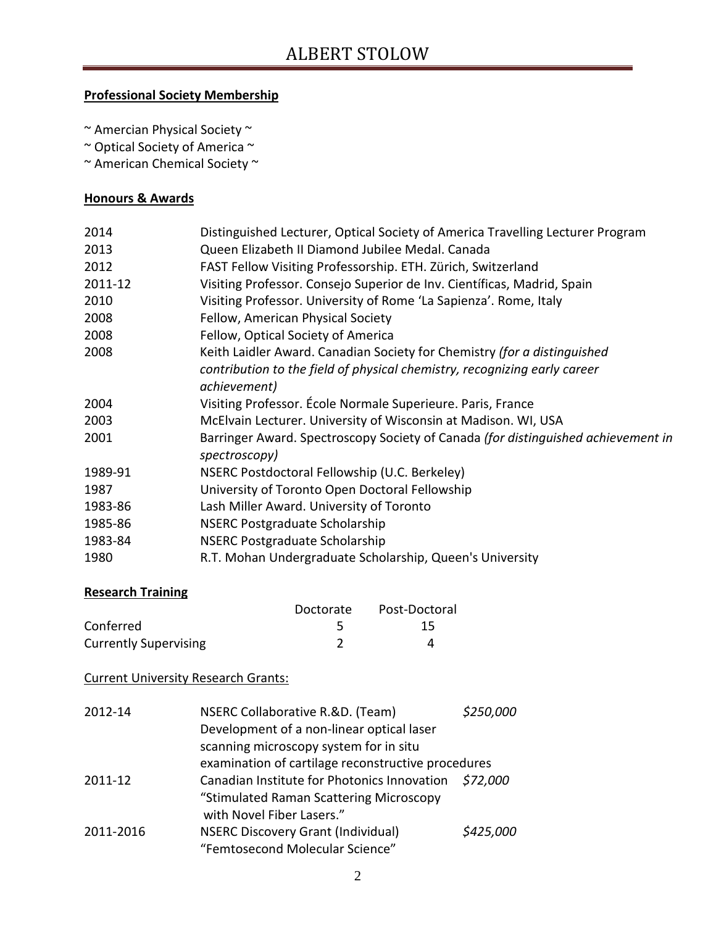### **Professional Society Membership**

~ Amercian Physical Society ~

~ Optical Society of America ~

~ American Chemical Society ~

### **Honours & Awards**

| 2014    | Distinguished Lecturer, Optical Society of America Travelling Lecturer Program                     |
|---------|----------------------------------------------------------------------------------------------------|
| 2013    | Queen Elizabeth II Diamond Jubilee Medal. Canada                                                   |
| 2012    | FAST Fellow Visiting Professorship. ETH. Zürich, Switzerland                                       |
| 2011-12 | Visiting Professor. Consejo Superior de Inv. Científicas, Madrid, Spain                            |
| 2010    | Visiting Professor. University of Rome 'La Sapienza'. Rome, Italy                                  |
| 2008    | Fellow, American Physical Society                                                                  |
| 2008    | Fellow, Optical Society of America                                                                 |
| 2008    | Keith Laidler Award. Canadian Society for Chemistry (for a distinguished                           |
|         | contribution to the field of physical chemistry, recognizing early career                          |
|         | achievement)                                                                                       |
| 2004    | Visiting Professor. École Normale Superieure. Paris, France                                        |
| 2003    | McElvain Lecturer. University of Wisconsin at Madison. WI, USA                                     |
| 2001    | Barringer Award. Spectroscopy Society of Canada (for distinguished achievement in<br>spectroscopy) |
| 1989-91 | NSERC Postdoctoral Fellowship (U.C. Berkeley)                                                      |
| 1987    | University of Toronto Open Doctoral Fellowship                                                     |
| 1983-86 | Lash Miller Award. University of Toronto                                                           |
| 1985-86 | <b>NSERC Postgraduate Scholarship</b>                                                              |
| 1983-84 | <b>NSERC Postgraduate Scholarship</b>                                                              |
| 1980    | R.T. Mohan Undergraduate Scholarship, Queen's University                                           |

#### **Research Training**

|                              | Doctorate | Post-Doctoral |
|------------------------------|-----------|---------------|
| Conferred                    |           | 15            |
| <b>Currently Supervising</b> |           |               |

### Current University Research Grants:

| 2012-14   | NSERC Collaborative R.&D. (Team)                   | \$250,000 |
|-----------|----------------------------------------------------|-----------|
|           | Development of a non-linear optical laser          |           |
|           | scanning microscopy system for in situ             |           |
|           | examination of cartilage reconstructive procedures |           |
| 2011-12   | Canadian Institute for Photonics Innovation        | \$72,000  |
|           | "Stimulated Raman Scattering Microscopy            |           |
|           | with Novel Fiber Lasers."                          |           |
| 2011-2016 | <b>NSERC Discovery Grant (Individual)</b>          | \$425,000 |
|           | "Femtosecond Molecular Science"                    |           |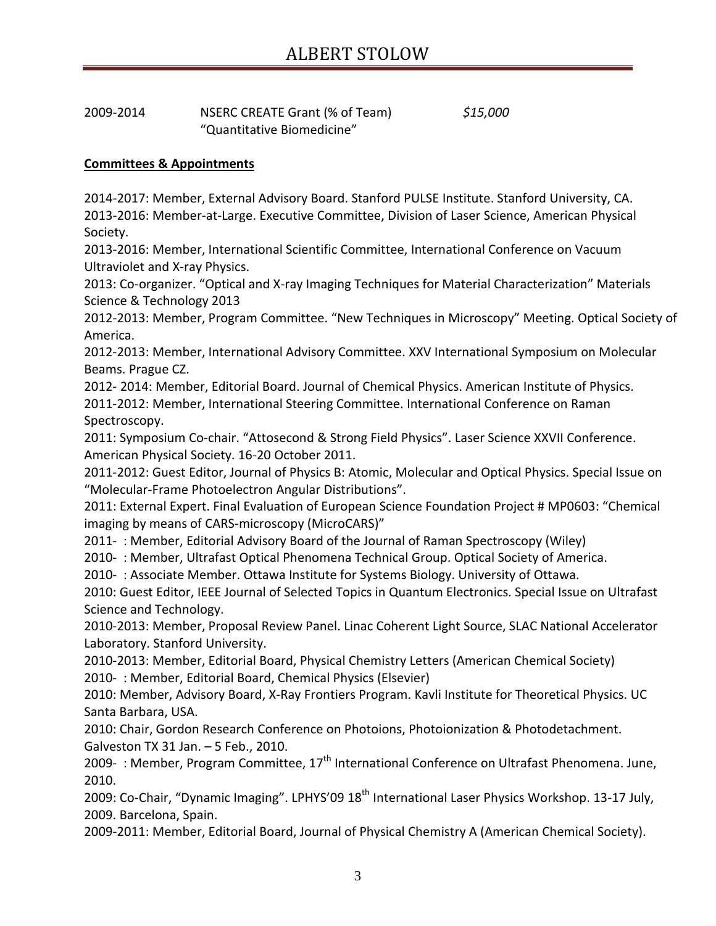| 2009-2014 | NSERC CREATE Grant (% of Team) | \$15,000 |
|-----------|--------------------------------|----------|
|           | "Quantitative Biomedicine"     |          |

#### **Committees & Appointments**

2014-2017: Member, External Advisory Board. Stanford PULSE Institute. Stanford University, CA. 2013-2016: Member-at-Large. Executive Committee, Division of Laser Science, American Physical Society.

2013-2016: Member, International Scientific Committee, International Conference on Vacuum Ultraviolet and X-ray Physics.

2013: Co-organizer. "Optical and X-ray Imaging Techniques for Material Characterization" Materials Science & Technology 2013

2012-2013: Member, Program Committee. "New Techniques in Microscopy" Meeting. Optical Society of America.

2012-2013: Member, International Advisory Committee. XXV International Symposium on Molecular Beams. Prague CZ.

2012- 2014: Member, Editorial Board. Journal of Chemical Physics. American Institute of Physics. 2011-2012: Member, International Steering Committee. International Conference on Raman Spectroscopy.

2011: Symposium Co-chair. "Attosecond & Strong Field Physics". Laser Science XXVII Conference. American Physical Society. 16-20 October 2011.

2011-2012: Guest Editor, Journal of Physics B: Atomic, Molecular and Optical Physics. Special Issue on "Molecular-Frame Photoelectron Angular Distributions".

2011: External Expert. Final Evaluation of European Science Foundation Project # MP0603: "Chemical imaging by means of CARS-microscopy (MicroCARS)"

2011- : Member, Editorial Advisory Board of the Journal of Raman Spectroscopy (Wiley)

2010- : Member, Ultrafast Optical Phenomena Technical Group. Optical Society of America.

2010- : Associate Member. Ottawa Institute for Systems Biology. University of Ottawa.

2010: Guest Editor, IEEE Journal of Selected Topics in Quantum Electronics. Special Issue on Ultrafast Science and Technology.

2010-2013: Member, Proposal Review Panel. Linac Coherent Light Source, SLAC National Accelerator Laboratory. Stanford University.

2010-2013: Member, Editorial Board, Physical Chemistry Letters (American Chemical Society) 2010- : Member, Editorial Board, Chemical Physics (Elsevier)

2010: Member, Advisory Board, X-Ray Frontiers Program. Kavli Institute for Theoretical Physics. UC Santa Barbara, USA.

2010: Chair, Gordon Research Conference on Photoions, Photoionization & Photodetachment. Galveston TX 31 Jan. – 5 Feb., 2010.

2009- : Member, Program Committee,  $17<sup>th</sup>$  International Conference on Ultrafast Phenomena. June, 2010.

2009: Co-Chair, "Dynamic Imaging". LPHYS'09 18<sup>th</sup> International Laser Physics Workshop. 13-17 July, 2009. Barcelona, Spain.

2009-2011: Member, Editorial Board, Journal of Physical Chemistry A (American Chemical Society).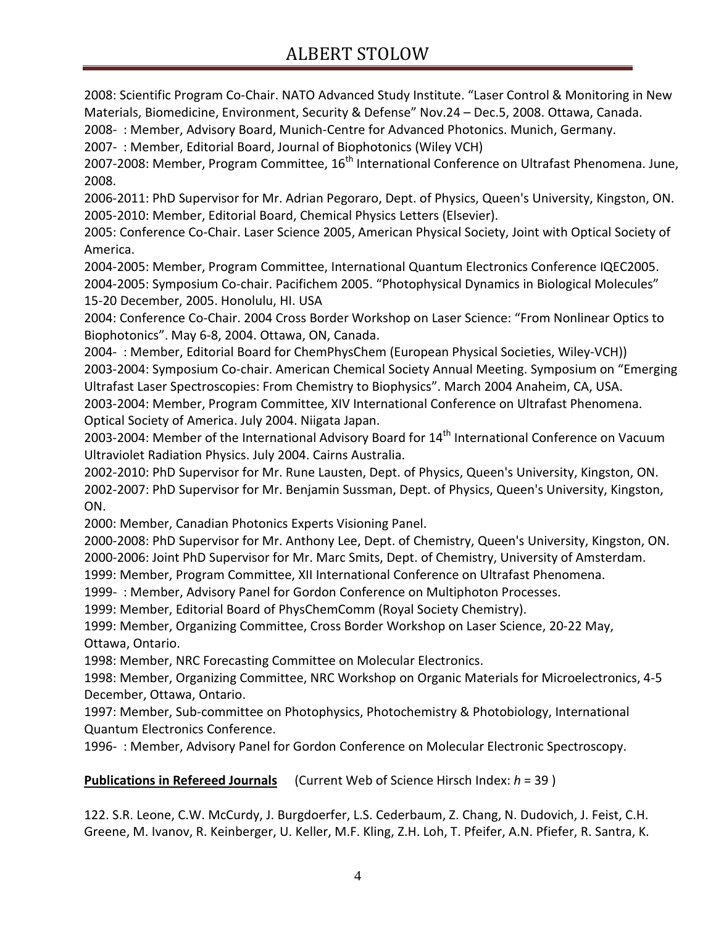2008: Scientific Program Co-Chair. NATO Advanced Study Institute. "Laser Control & Monitoring in New Materials, Biomedicine, Environment, Security & Defense" Nov.24 – Dec.5, 2008. Ottawa, Canada.

2008- : Member, Advisory Board, Munich-Centre for Advanced Photonics. Munich, Germany.

2007- : Member, Editorial Board, Journal of Biophotonics (Wiley VCH)

2007-2008: Member, Program Committee, 16<sup>th</sup> International Conference on Ultrafast Phenomena. June, 2008.

2006-2011: PhD Supervisor for Mr. Adrian Pegoraro, Dept. of Physics, Queen's University, Kingston, ON. 2005-2010: Member, Editorial Board, Chemical Physics Letters (Elsevier).

2005: Conference Co-Chair. Laser Science 2005, American Physical Society, Joint with Optical Society of America.

2004-2005: Member, Program Committee, International Quantum Electronics Conference IQEC2005. 2004-2005: Symposium Co-chair. Pacifichem 2005. "Photophysical Dynamics in Biological Molecules" 15-20 December, 2005. Honolulu, HI. USA

2004: Conference Co-Chair. 2004 Cross Border Workshop on Laser Science: "From Nonlinear Optics to Biophotonics". May 6-8, 2004. Ottawa, ON, Canada.

2004- : Member, Editorial Board for ChemPhysChem (European Physical Societies, Wiley-VCH)) 2003-2004: Symposium Co-chair. American Chemical Society Annual Meeting. Symposium on "Emerging Ultrafast Laser Spectroscopies: From Chemistry to Biophysics". March 2004 Anaheim, CA, USA. 2003-2004: Member, Program Committee, XIV International Conference on Ultrafast Phenomena. Optical Society of America. July 2004. Niigata Japan.

2003-2004: Member of the International Advisory Board for 14<sup>th</sup> International Conference on Vacuum Ultraviolet Radiation Physics. July 2004. Cairns Australia.

2002-2010: PhD Supervisor for Mr. Rune Lausten, Dept. of Physics, Queen's University, Kingston, ON. 2002-2007: PhD Supervisor for Mr. Benjamin Sussman, Dept. of Physics, Queen's University, Kingston, ON.

2000: Member, Canadian Photonics Experts Visioning Panel.

2000-2008: PhD Supervisor for Mr. Anthony Lee, Dept. of Chemistry, Queen's University, Kingston, ON. 2000-2006: Joint PhD Supervisor for Mr. Marc Smits, Dept. of Chemistry, University of Amsterdam.

1999: Member, Program Committee, XII International Conference on Ultrafast Phenomena.

1999- : Member, Advisory Panel for Gordon Conference on Multiphoton Processes.

1999: Member, Editorial Board of PhysChemComm (Royal Society Chemistry).

1999: Member, Organizing Committee, Cross Border Workshop on Laser Science, 20-22 May, Ottawa, Ontario.

1998: Member, NRC Forecasting Committee on Molecular Electronics.

1998: Member, Organizing Committee, NRC Workshop on Organic Materials for Microelectronics, 4-5 December, Ottawa, Ontario.

1997: Member, Sub-committee on Photophysics, Photochemistry & Photobiology, International Quantum Electronics Conference.

1996- : Member, Advisory Panel for Gordon Conference on Molecular Electronic Spectroscopy.

### **Publications in Refereed Journals** (Current Web of Science Hirsch Index: *h* = 39 )

122. S.R. Leone, C.W. McCurdy, J. Burgdoerfer, L.S. Cederbaum, Z. Chang, N. Dudovich, J. Feist, C.H. Greene, M. Ivanov, R. Keinberger, U. Keller, M.F. Kling, Z.H. Loh, T. Pfeifer, A.N. Pfiefer, R. Santra, K.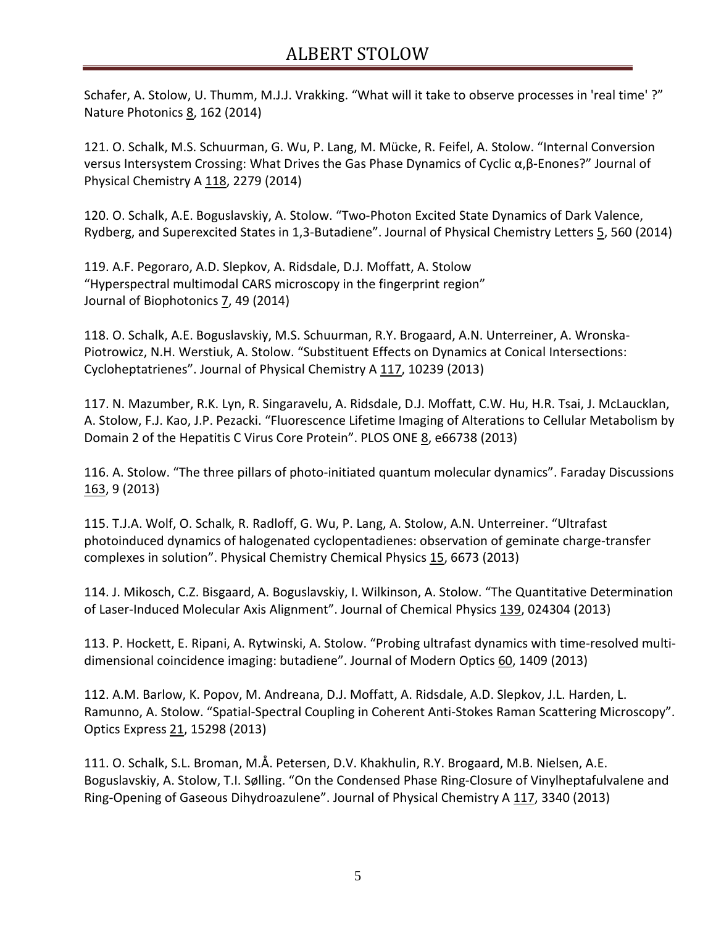Schafer, A. Stolow, U. Thumm, M.J.J. Vrakking. "What will it take to observe processes in 'real time' ?" Nature Photonics 8, 162 (2014)

121. O. Schalk, M.S. Schuurman, G. Wu, P. Lang, M. Mücke, R. Feifel, A. Stolow. "Internal Conversion versus Intersystem Crossing: What Drives the Gas Phase Dynamics of Cyclic α,β-Enones?" Journal of Physical Chemistry A 118, 2279 (2014)

120. O. Schalk, A.E. Boguslavskiy, A. Stolow. "Two-Photon Excited State Dynamics of Dark Valence, Rydberg, and Superexcited States in 1,3-Butadiene". Journal of Physical Chemistry Letters 5, 560 (2014)

119. A.F. Pegoraro, A.D. Slepkov, A. Ridsdale, D.J. Moffatt, A. Stolow "Hyperspectral multimodal CARS microscopy in the fingerprint region" Journal of Biophotonics 7, 49 (2014)

118. O. Schalk, A.E. Boguslavskiy, M.S. Schuurman, R.Y. Brogaard, A.N. Unterreiner, A. Wronska-Piotrowicz, N.H. Werstiuk, A. Stolow. "Substituent Effects on Dynamics at Conical Intersections: Cycloheptatrienes". Journal of Physical Chemistry A 117, 10239 (2013)

117. N. Mazumber, R.K. Lyn, R. Singaravelu, A. Ridsdale, D.J. Moffatt, C.W. Hu, H.R. Tsai, J. McLaucklan, A. Stolow, F.J. Kao, J.P. Pezacki. "Fluorescence Lifetime Imaging of Alterations to Cellular Metabolism by Domain 2 of the Hepatitis C Virus Core Protein". PLOS ONE 8, e66738 (2013)

116. A. Stolow. "The three pillars of photo-initiated quantum molecular dynamics". Faraday Discussions 163, 9 (2013)

115. T.J.A. Wolf, O. Schalk, R. Radloff, G. Wu, P. Lang, A. Stolow, A.N. Unterreiner. "Ultrafast photoinduced dynamics of halogenated cyclopentadienes: observation of geminate charge-transfer complexes in solution". Physical Chemistry Chemical Physics 15, 6673 (2013)

114. J. Mikosch, C.Z. Bisgaard, A. Boguslavskiy, I. Wilkinson, A. Stolow. "The Quantitative Determination of Laser-Induced Molecular Axis Alignment". Journal of Chemical Physics 139, 024304 (2013)

113. P. Hockett, E. Ripani, A. Rytwinski, A. Stolow. "Probing ultrafast dynamics with time-resolved multidimensional coincidence imaging: butadiene". Journal of Modern Optics 60, 1409 (2013)

112. A.M. Barlow, K. Popov, M. Andreana, D.J. Moffatt, A. Ridsdale, A.D. Slepkov, J.L. Harden, L. Ramunno, A. Stolow. "Spatial-Spectral Coupling in Coherent Anti-Stokes Raman Scattering Microscopy". Optics Express 21, 15298 (2013)

111. O. Schalk, S.L. Broman, M.Å. Petersen, D.V. Khakhulin, R.Y. Brogaard, M.B. Nielsen, A.E. Boguslavskiy, A. Stolow, T.I. Sølling. "On the Condensed Phase Ring-Closure of Vinylheptafulvalene and Ring-Opening of Gaseous Dihydroazulene". Journal of Physical Chemistry A 117, 3340 (2013)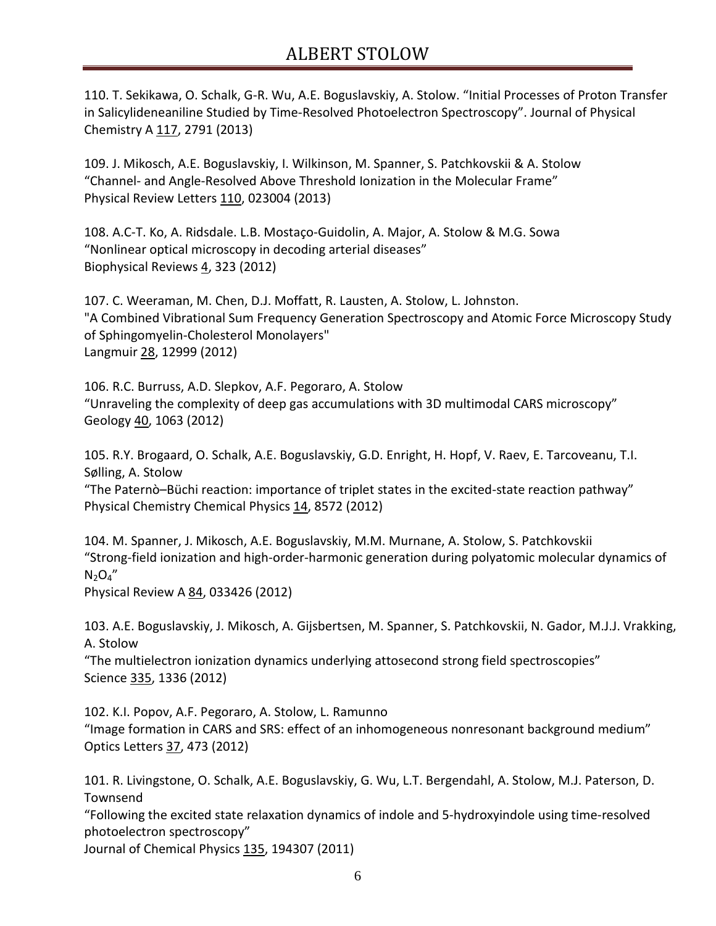110. T. Sekikawa, O. Schalk, G-R. Wu, A.E. Boguslavskiy, A. Stolow. "Initial Processes of Proton Transfer in Salicylideneaniline Studied by Time-Resolved Photoelectron Spectroscopy". Journal of Physical Chemistry A 117, 2791 (2013)

109. J. Mikosch, A.E. Boguslavskiy, I. Wilkinson, M. Spanner, S. Patchkovskii & A. Stolow "Channel- and Angle-Resolved Above Threshold Ionization in the Molecular Frame" Physical Review Letters 110, 023004 (2013)

108. A.C-T. Ko, A. Ridsdale. L.B. Mostaço-Guidolin, A. Major, A. Stolow & M.G. Sowa "Nonlinear optical microscopy in decoding arterial diseases" Biophysical Reviews 4, 323 (2012)

107. C. Weeraman, M. Chen, D.J. Moffatt, R. Lausten, A. Stolow, L. Johnston. "A Combined Vibrational Sum Frequency Generation Spectroscopy and Atomic Force Microscopy Study of Sphingomyelin-Cholesterol Monolayers" Langmuir 28, 12999 (2012)

106. R.C. Burruss, A.D. Slepkov, A.F. Pegoraro, A. Stolow "Unraveling the complexity of deep gas accumulations with 3D multimodal CARS microscopy" Geology 40, 1063 (2012)

105. R.Y. Brogaard, O. Schalk, A.E. Boguslavskiy, G.D. Enright, H. Hopf, V. Raev, E. Tarcoveanu, T.I. Sølling, A. Stolow

"The Paternò–Büchi reaction: importance of triplet states in the excited-state reaction pathway" Physical Chemistry Chemical Physics 14, 8572 (2012)

104. M. Spanner, J. Mikosch, A.E. Boguslavskiy, M.M. Murnane, A. Stolow, S. Patchkovskii "Strong-field ionization and high-order-harmonic generation during polyatomic molecular dynamics of  $N_2O_4''$ 

Physical Review A 84, 033426 (2012)

103. A.E. Boguslavskiy, J. Mikosch, A. Gijsbertsen, M. Spanner, S. Patchkovskii, N. Gador, M.J.J. Vrakking, A. Stolow

"The multielectron ionization dynamics underlying attosecond strong field spectroscopies" Science 335, 1336 (2012)

102. K.I. Popov, A.F. Pegoraro, A. Stolow, L. Ramunno "Image formation in CARS and SRS: effect of an inhomogeneous nonresonant background medium" Optics Letters 37, 473 (2012)

101. R. Livingstone, O. Schalk, A.E. Boguslavskiy, G. Wu, L.T. Bergendahl, A. Stolow, M.J. Paterson, D. Townsend

"Following the excited state relaxation dynamics of indole and 5-hydroxyindole using time-resolved photoelectron spectroscopy"

Journal of Chemical Physics 135, 194307 (2011)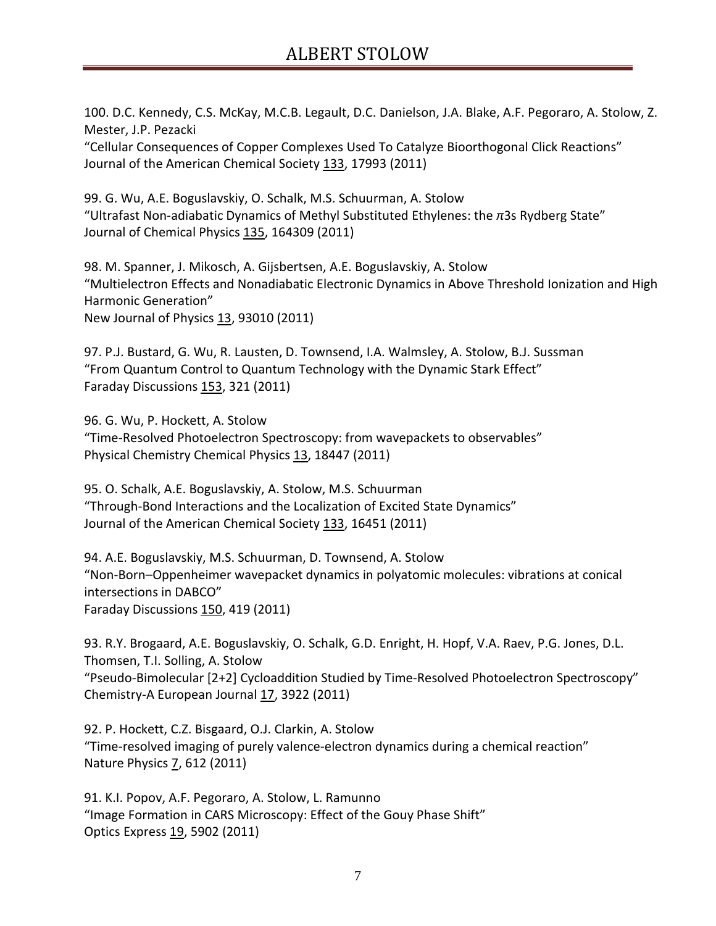100. D.C. Kennedy, C.S. McKay, M.C.B. Legault, D.C. Danielson, J.A. Blake, A.F. Pegoraro, A. Stolow, Z. Mester, J.P. Pezacki

"Cellular Consequences of Copper Complexes Used To Catalyze Bioorthogonal Click Reactions" Journal of the American Chemical Society 133, 17993 (2011)

99. G. Wu, A.E. Boguslavskiy, O. Schalk, M.S. Schuurman, A. Stolow "Ultrafast Non-adiabatic Dynamics of Methyl Substituted Ethylenes: the *π*3s Rydberg State" Journal of Chemical Physics 135, 164309 (2011)

98. M. Spanner, J. Mikosch, A. Gijsbertsen, A.E. Boguslavskiy, A. Stolow "Multielectron Effects and Nonadiabatic Electronic Dynamics in Above Threshold Ionization and High Harmonic Generation" New Journal of Physics 13, 93010 (2011)

97. P.J. Bustard, G. Wu, R. Lausten, D. Townsend, I.A. Walmsley, A. Stolow, B.J. Sussman "From Quantum Control to Quantum Technology with the Dynamic Stark Effect" Faraday Discussions 153, 321 (2011)

96. G. Wu, P. Hockett, A. Stolow "Time-Resolved Photoelectron Spectroscopy: from wavepackets to observables" Physical Chemistry Chemical Physics 13, 18447 (2011)

95. O. Schalk, A.E. Boguslavskiy, A. Stolow, M.S. Schuurman "Through-Bond Interactions and the Localization of Excited State Dynamics" Journal of the American Chemical Society 133, 16451 (2011)

94. A.E. Boguslavskiy, M.S. Schuurman, D. Townsend, A. Stolow "Non-Born–Oppenheimer wavepacket dynamics in polyatomic molecules: vibrations at conical intersections in DABCO" Faraday Discussions 150, 419 (2011)

93. R.Y. Brogaard, A.E. Boguslavskiy, O. Schalk, G.D. Enright, H. Hopf, V.A. Raev, P.G. Jones, D.L. Thomsen, T.I. Solling, A. Stolow "Pseudo-Bimolecular [2+2] Cycloaddition Studied by Time-Resolved Photoelectron Spectroscopy" Chemistry-A European Journal 17, 3922 (2011)

92. P. Hockett, C.Z. Bisgaard, O.J. Clarkin, A. Stolow "Time-resolved imaging of purely valence-electron dynamics during a chemical reaction" Nature Physics **7**, 612 (2011)

91. K.I. Popov, A.F. Pegoraro, A. Stolow, L. Ramunno "Image Formation in CARS Microscopy: Effect of the Gouy Phase Shift" Optics Express 19, 5902 (2011)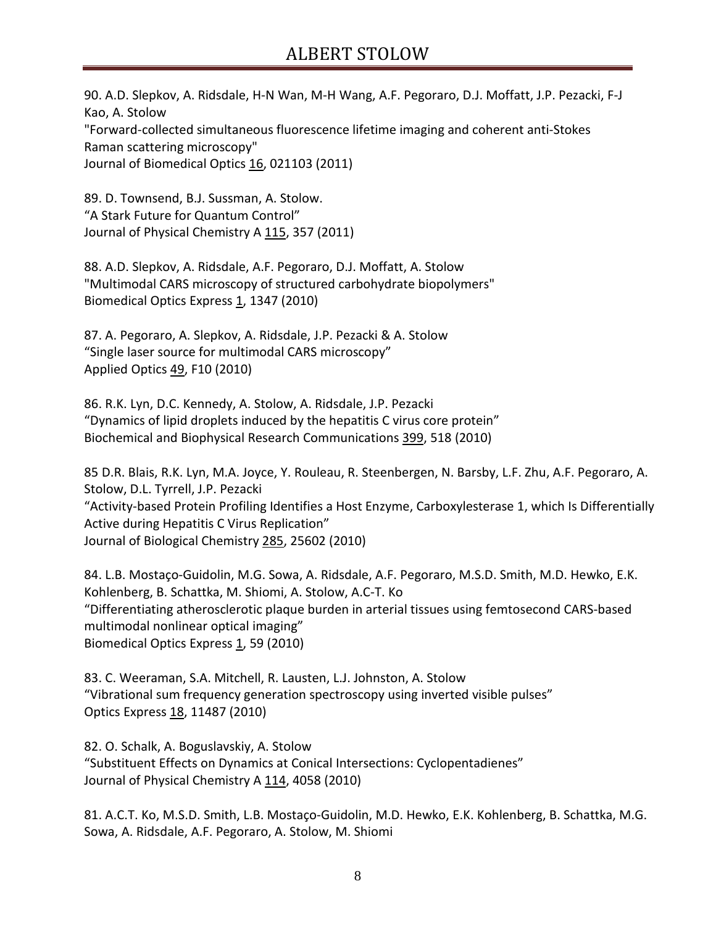90. A.D. Slepkov, A. Ridsdale, H-N Wan, M-H Wang, A.F. Pegoraro, D.J. Moffatt, J.P. Pezacki, F-J Kao, A. Stolow "Forward-collected simultaneous fluorescence lifetime imaging and coherent anti-Stokes Raman scattering microscopy" Journal of Biomedical Optics 16, 021103 (2011)

89. D. Townsend, B.J. Sussman, A. Stolow. "A Stark Future for Quantum Control" Journal of Physical Chemistry A 115, 357 (2011)

88. A.D. Slepkov, A. Ridsdale, A.F. Pegoraro, D.J. Moffatt, A. Stolow "Multimodal CARS microscopy of structured carbohydrate biopolymers" Biomedical Optics Express 1, 1347 (2010)

87. A. Pegoraro, A. Slepkov, A. Ridsdale, J.P. Pezacki & A. Stolow "Single laser source for multimodal CARS microscopy" Applied Optics 49, F10 (2010)

86. R.K. Lyn, D.C. Kennedy, A. Stolow, A. Ridsdale, J.P. Pezacki "Dynamics of lipid droplets induced by the hepatitis C virus core protein" Biochemical and Biophysical Research Communications 399, 518 (2010)

85 D.R. Blais, R.K. Lyn, M.A. Joyce, Y. Rouleau, R. Steenbergen, N. Barsby, L.F. Zhu, A.F. Pegoraro, A. Stolow, D.L. Tyrrell, J.P. Pezacki "Activity-based Protein Profiling Identifies a Host Enzyme, Carboxylesterase 1, which Is Differentially Active during Hepatitis C Virus Replication" Journal of Biological Chemistry 285, 25602 (2010)

84. L.B. Mostaço-Guidolin, M.G. Sowa, A. Ridsdale, A.F. Pegoraro, M.S.D. Smith, M.D. Hewko, E.K. Kohlenberg, B. Schattka, M. Shiomi, A. Stolow, A.C-T. Ko "Differentiating atherosclerotic plaque burden in arterial tissues using femtosecond CARS-based multimodal nonlinear optical imaging" Biomedical Optics Express 1, 59 (2010)

83. C. Weeraman, S.A. Mitchell, R. Lausten, L.J. Johnston, A. Stolow "Vibrational sum frequency generation spectroscopy using inverted visible pulses" Optics Express 18, 11487 (2010)

82. O. Schalk, A. Boguslavskiy, A. Stolow "Substituent Effects on Dynamics at Conical Intersections: Cyclopentadienes" Journal of Physical Chemistry A 114, 4058 (2010)

81. A.C.T. Ko, M.S.D. Smith, L.B. Mostaço-Guidolin, M.D. Hewko, E.K. Kohlenberg, B. Schattka, M.G. Sowa, A. Ridsdale, A.F. Pegoraro, A. Stolow, M. Shiomi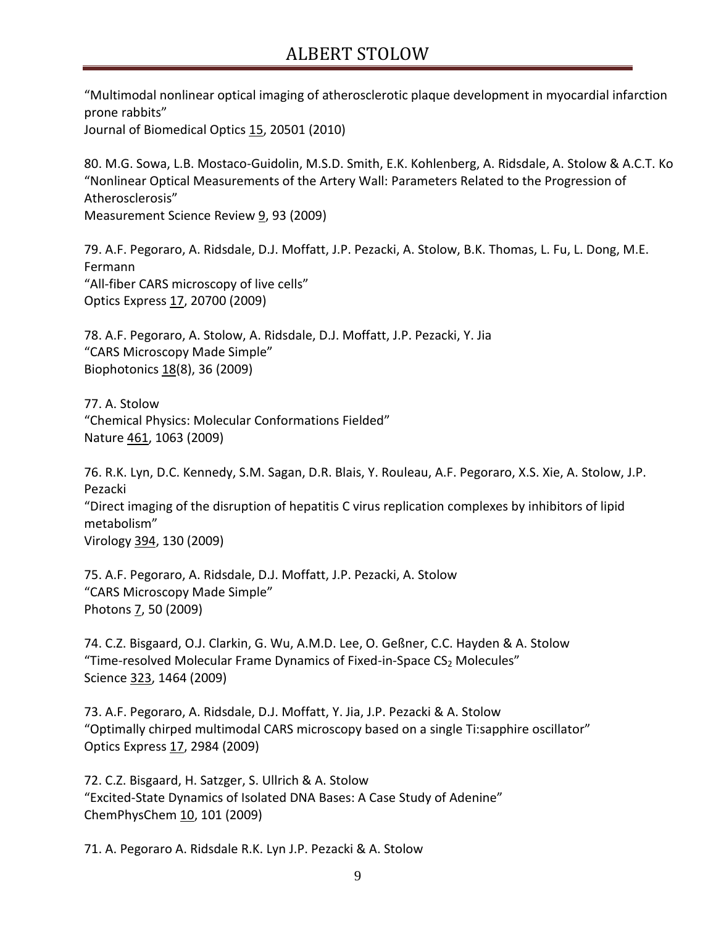"Multimodal nonlinear optical imaging of atherosclerotic plaque development in myocardial infarction prone rabbits"

Journal of Biomedical Optics 15, 20501 (2010)

80. M.G. Sowa, L.B. Mostaco-Guidolin, M.S.D. Smith, E.K. Kohlenberg, A. Ridsdale, A. Stolow & A.C.T. Ko "Nonlinear Optical Measurements of the Artery Wall: Parameters Related to the Progression of Atherosclerosis" Measurement Science Review 9, 93 (2009)

79. A.F. Pegoraro, A. Ridsdale, D.J. Moffatt, J.P. Pezacki, A. Stolow, B.K. Thomas, L. Fu, L. Dong, M.E.

Fermann "All-fiber CARS microscopy of live cells" Optics Express 17, 20700 (2009)

78. A.F. Pegoraro, A. Stolow, A. Ridsdale, D.J. Moffatt, J.P. Pezacki, Y. Jia "CARS Microscopy Made Simple" Biophotonics 18(8), 36 (2009)

77. A. Stolow "Chemical Physics: Molecular Conformations Fielded" Nature 461, 1063 (2009)

76. R.K. Lyn, D.C. Kennedy, S.M. Sagan, D.R. Blais, Y. Rouleau, A.F. Pegoraro, X.S. Xie, A. Stolow, J.P. Pezacki "Direct imaging of the disruption of hepatitis C virus replication complexes by inhibitors of lipid metabolism" Virology 394, 130 (2009)

75. A.F. Pegoraro, A. Ridsdale, D.J. Moffatt, J.P. Pezacki, A. Stolow "CARS Microscopy Made Simple" Photons 7, 50 (2009)

74. C.Z. Bisgaard, O.J. Clarkin, G. Wu, A.M.D. Lee, O. Geßner, C.C. Hayden & A. Stolow "Time-resolved Molecular Frame Dynamics of Fixed-in-Space CS<sub>2</sub> Molecules" Science 323, 1464 (2009)

73. A.F. Pegoraro, A. Ridsdale, D.J. Moffatt, Y. Jia, J.P. Pezacki & A. Stolow "Optimally chirped multimodal CARS microscopy based on a single Ti:sapphire oscillator" Optics Express 17, 2984 (2009)

72. C.Z. Bisgaard, H. Satzger, S. Ullrich & A. Stolow "Excited-State Dynamics of Isolated DNA Bases: A Case Study of Adenine" ChemPhysChem 10, 101 (2009)

71. A. Pegoraro A. Ridsdale R.K. Lyn J.P. Pezacki & A. Stolow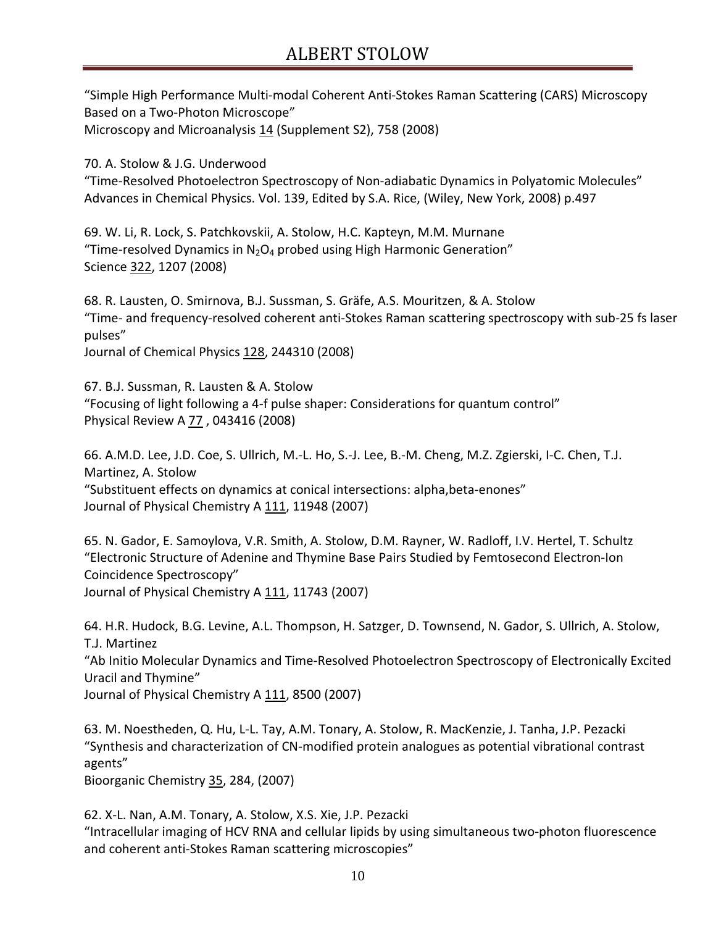"Simple High Performance Multi-modal Coherent Anti-Stokes Raman Scattering (CARS) Microscopy Based on a Two-Photon Microscope" Microscopy and Microanalysis 14 (Supplement S2), 758 (2008)

70. A. Stolow & J.G. Underwood

"Time-Resolved Photoelectron Spectroscopy of Non-adiabatic Dynamics in Polyatomic Molecules" Advances in Chemical Physics. Vol. 139, Edited by S.A. Rice, (Wiley, New York, 2008) p.497

69. W. Li, R. Lock, S. Patchkovskii, A. Stolow, H.C. Kapteyn, M.M. Murnane "Time-resolved Dynamics in  $N_2O_4$  probed using High Harmonic Generation" Science 322, 1207 (2008)

68. R. Lausten, O. Smirnova, B.J. Sussman, S. Gräfe, A.S. Mouritzen, & A. Stolow "Time- and frequency-resolved coherent anti-Stokes Raman scattering spectroscopy with sub-25 fs laser pulses"

Journal of Chemical Physics 128, 244310 (2008)

67. B.J. Sussman, R. Lausten & A. Stolow "Focusing of light following a 4-f pulse shaper: Considerations for quantum control" Physical Review A 77 , 043416 (2008)

66. A.M.D. Lee, J.D. Coe, S. Ullrich, M.-L. Ho, S.-J. Lee, B.-M. Cheng, M.Z. Zgierski, I-C. Chen, T.J. Martinez, A. Stolow "Substituent effects on dynamics at conical intersections: alpha,beta-enones" Journal of Physical Chemistry A 111, 11948 (2007)

65. N. Gador, E. Samoylova, V.R. Smith, A. Stolow, D.M. Rayner, W. Radloff, I.V. Hertel, T. Schultz "Electronic Structure of Adenine and Thymine Base Pairs Studied by Femtosecond Electron-Ion Coincidence Spectroscopy" Journal of Physical Chemistry A 111, 11743 (2007)

64. H.R. Hudock, B.G. Levine, A.L. Thompson, H. Satzger, D. Townsend, N. Gador, S. Ullrich, A. Stolow, T.J. Martinez "Ab Initio Molecular Dynamics and Time-Resolved Photoelectron Spectroscopy of Electronically Excited Uracil and Thymine" Journal of Physical Chemistry A 111, 8500 (2007)

63. M. Noestheden, Q. Hu, L-L. Tay, A.M. Tonary, A. Stolow, R. MacKenzie, J. Tanha, J.P. Pezacki "Synthesis and characterization of CN-modified protein analogues as potential vibrational contrast agents"

Bioorganic Chemistry 35, 284, (2007)

62. X-L. Nan, A.M. Tonary, A. Stolow, X.S. Xie, J.P. Pezacki "Intracellular imaging of HCV RNA and cellular lipids by using simultaneous two-photon fluorescence and coherent anti-Stokes Raman scattering microscopies"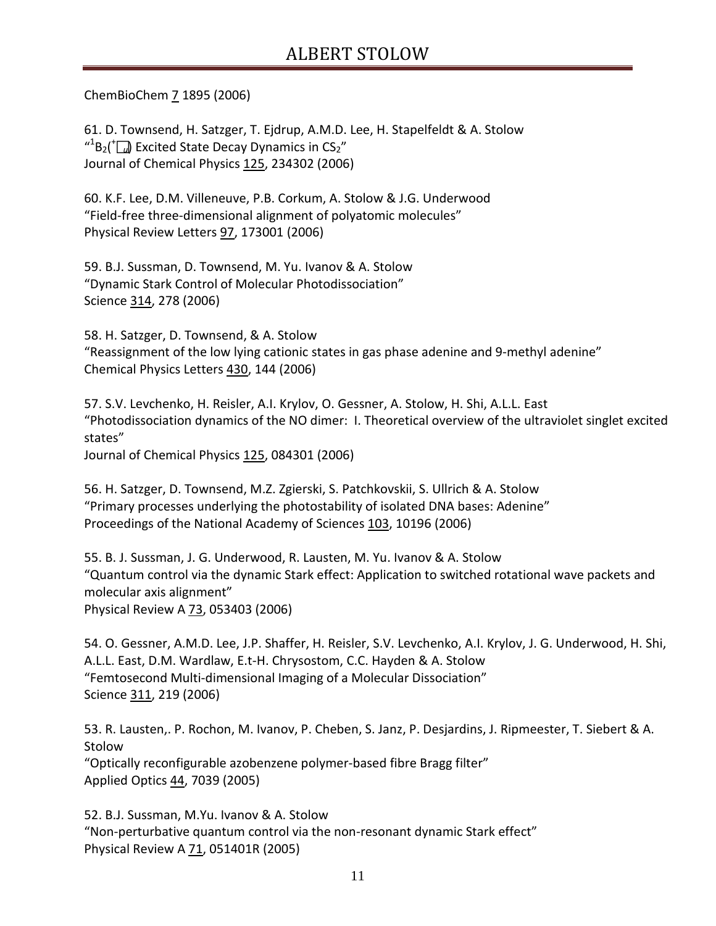ChemBioChem 7 1895 (2006)

61. D. Townsend, H. Satzger, T. Ejdrup, A.M.D. Lee, H. Stapelfeldt & A. Stolow  $^{41}B_2(^{+}$   $\Box$  Excited State Decay Dynamics in CS<sub>2</sub>" Journal of Chemical Physics 125, 234302 (2006)

60. K.F. Lee, D.M. Villeneuve, P.B. Corkum, A. Stolow & J.G. Underwood "Field-free three-dimensional alignment of polyatomic molecules" Physical Review Letters 97, 173001 (2006)

59. B.J. Sussman, D. Townsend, M. Yu. Ivanov & A. Stolow "Dynamic Stark Control of Molecular Photodissociation" Science 314, 278 (2006)

58. H. Satzger, D. Townsend, & A. Stolow "Reassignment of the low lying cationic states in gas phase adenine and 9-methyl adenine" Chemical Physics Letters 430, 144 (2006)

57. S.V. Levchenko, H. Reisler, A.I. Krylov, O. Gessner, A. Stolow, H. Shi, A.L.L. East "Photodissociation dynamics of the NO dimer: I. Theoretical overview of the ultraviolet singlet excited states"

Journal of Chemical Physics 125, 084301 (2006)

56. H. Satzger, D. Townsend, M.Z. Zgierski, S. Patchkovskii, S. Ullrich & A. Stolow "Primary processes underlying the photostability of isolated DNA bases: Adenine" Proceedings of the National Academy of Sciences 103, 10196 (2006)

55. B. J. Sussman, J. G. Underwood, R. Lausten, M. Yu. Ivanov & A. Stolow "Quantum control via the dynamic Stark effect: Application to switched rotational wave packets and molecular axis alignment" Physical Review A 73, 053403 (2006)

54. O. Gessner, A.M.D. Lee, J.P. Shaffer, H. Reisler, S.V. Levchenko, A.I. Krylov, J. G. Underwood, H. Shi, A.L.L. East, D.M. Wardlaw, E.t-H. Chrysostom, C.C. Hayden & A. Stolow "Femtosecond Multi-dimensional Imaging of a Molecular Dissociation" Science 311, 219 (2006)

53. R. Lausten,. P. Rochon, M. Ivanov, P. Cheben, S. Janz, P. Desjardins, J. Ripmeester, T. Siebert & A. Stolow "Optically reconfigurable azobenzene polymer-based fibre Bragg filter" Applied Optics 44, 7039 (2005)

52. B.J. Sussman, M.Yu. Ivanov & A. Stolow "Non-perturbative quantum control via the non-resonant dynamic Stark effect" Physical Review A 71, 051401R (2005)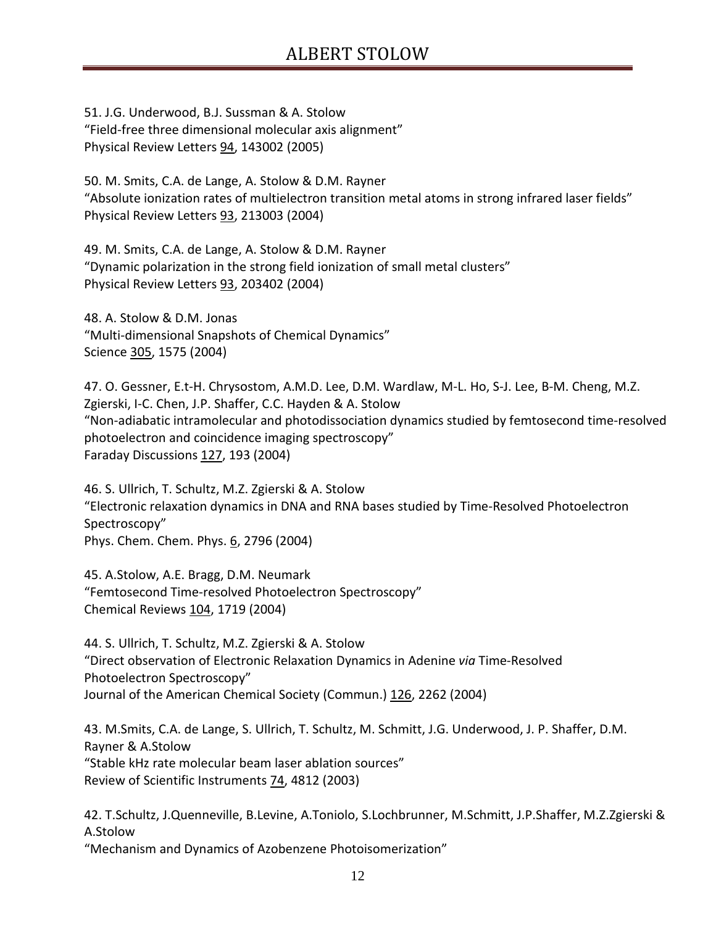51. J.G. Underwood, B.J. Sussman & A. Stolow "Field-free three dimensional molecular axis alignment" Physical Review Letters 94, 143002 (2005)

50. M. Smits, C.A. de Lange, A. Stolow & D.M. Rayner "Absolute ionization rates of multielectron transition metal atoms in strong infrared laser fields" Physical Review Letters 93, 213003 (2004)

49. M. Smits, C.A. de Lange, A. Stolow & D.M. Rayner "Dynamic polarization in the strong field ionization of small metal clusters" Physical Review Letters 93, 203402 (2004)

48. A. Stolow & D.M. Jonas "Multi-dimensional Snapshots of Chemical Dynamics" Science 305, 1575 (2004)

47. O. Gessner, E.t-H. Chrysostom, A.M.D. Lee, D.M. Wardlaw, M-L. Ho, S-J. Lee, B-M. Cheng, M.Z. Zgierski, I-C. Chen, J.P. Shaffer, C.C. Hayden & A. Stolow "Non-adiabatic intramolecular and photodissociation dynamics studied by femtosecond time-resolved photoelectron and coincidence imaging spectroscopy" Faraday Discussions 127, 193 (2004)

46. S. Ullrich, T. Schultz, M.Z. Zgierski & A. Stolow "Electronic relaxation dynamics in DNA and RNA bases studied by Time-Resolved Photoelectron Spectroscopy" Phys. Chem. Chem. Phys. 6, 2796 (2004)

45. A.Stolow, A.E. Bragg, D.M. Neumark "Femtosecond Time-resolved Photoelectron Spectroscopy" Chemical Reviews 104, 1719 (2004)

44. S. Ullrich, T. Schultz, M.Z. Zgierski & A. Stolow "Direct observation of Electronic Relaxation Dynamics in Adenine *via* Time-Resolved Photoelectron Spectroscopy" Journal of the American Chemical Society (Commun.) 126, 2262 (2004)

43. M.Smits, C.A. de Lange, S. Ullrich, T. Schultz, M. Schmitt, J.G. Underwood, J. P. Shaffer, D.M. Rayner & A.Stolow "Stable kHz rate molecular beam laser ablation sources" Review of Scientific Instruments 74, 4812 (2003)

42. T.Schultz, J.Quenneville, B.Levine, A.Toniolo, S.Lochbrunner, M.Schmitt, J.P.Shaffer, M.Z.Zgierski & A.Stolow "Mechanism and Dynamics of Azobenzene Photoisomerization"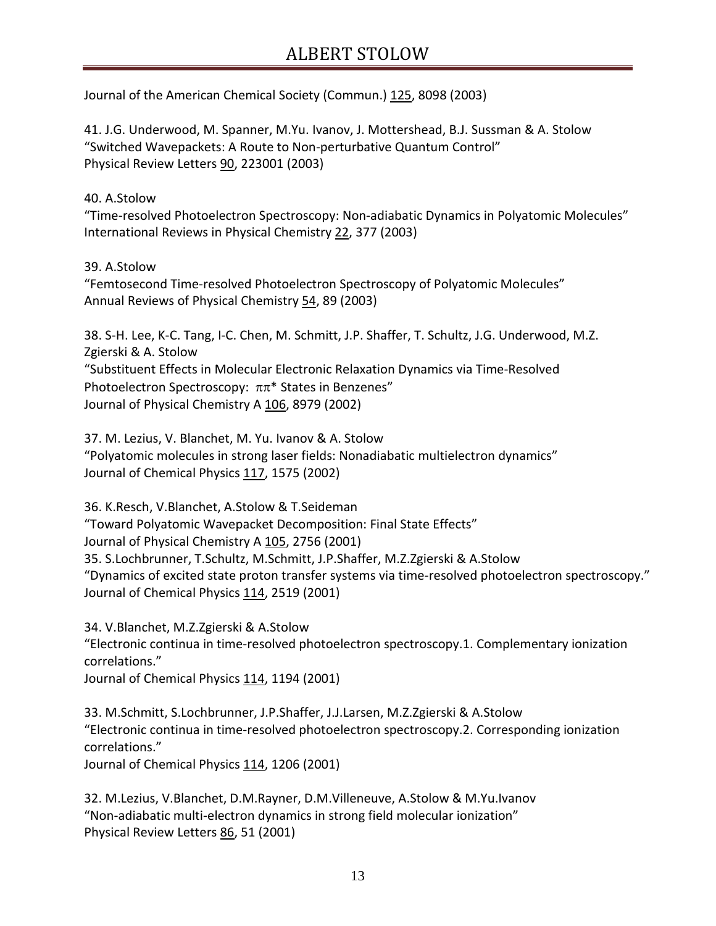Journal of the American Chemical Society (Commun.) 125, 8098 (2003)

41. J.G. Underwood, M. Spanner, M.Yu. Ivanov, J. Mottershead, B.J. Sussman & A. Stolow "Switched Wavepackets: A Route to Non-perturbative Quantum Control" Physical Review Letters 90, 223001 (2003)

#### 40. A.Stolow

"Time-resolved Photoelectron Spectroscopy: Non-adiabatic Dynamics in Polyatomic Molecules" International Reviews in Physical Chemistry 22, 377 (2003)

#### 39. A.Stolow

"Femtosecond Time-resolved Photoelectron Spectroscopy of Polyatomic Molecules" Annual Reviews of Physical Chemistry 54, 89 (2003)

38. S-H. Lee, K-C. Tang, I-C. Chen, M. Schmitt, J.P. Shaffer, T. Schultz, J.G. Underwood, M.Z. Zgierski & A. Stolow "Substituent Effects in Molecular Electronic Relaxation Dynamics via Time-Resolved Photoelectron Spectroscopy: ππ\* States in Benzenes" Journal of Physical Chemistry A 106, 8979 (2002)

37. M. Lezius, V. Blanchet, M. Yu. Ivanov & A. Stolow "Polyatomic molecules in strong laser fields: Nonadiabatic multielectron dynamics" Journal of Chemical Physics 117, 1575 (2002)

36. K.Resch, V.Blanchet, A.Stolow & T.Seideman "Toward Polyatomic Wavepacket Decomposition: Final State Effects" Journal of Physical Chemistry A 105, 2756 (2001) 35. S.Lochbrunner, T.Schultz, M.Schmitt, J.P.Shaffer, M.Z.Zgierski & A.Stolow "Dynamics of excited state proton transfer systems via time-resolved photoelectron spectroscopy." Journal of Chemical Physics 114, 2519 (2001)

34. V.Blanchet, M.Z.Zgierski & A.Stolow "Electronic continua in time-resolved photoelectron spectroscopy.1. Complementary ionization correlations." Journal of Chemical Physics 114, 1194 (2001)

33. M.Schmitt, S.Lochbrunner, J.P.Shaffer, J.J.Larsen, M.Z.Zgierski & A.Stolow "Electronic continua in time-resolved photoelectron spectroscopy.2. Corresponding ionization correlations." Journal of Chemical Physics 114, 1206 (2001)

32. M.Lezius, V.Blanchet, D.M.Rayner, D.M.Villeneuve, A.Stolow & M.Yu.Ivanov "Non-adiabatic multi-electron dynamics in strong field molecular ionization" Physical Review Letters 86, 51 (2001)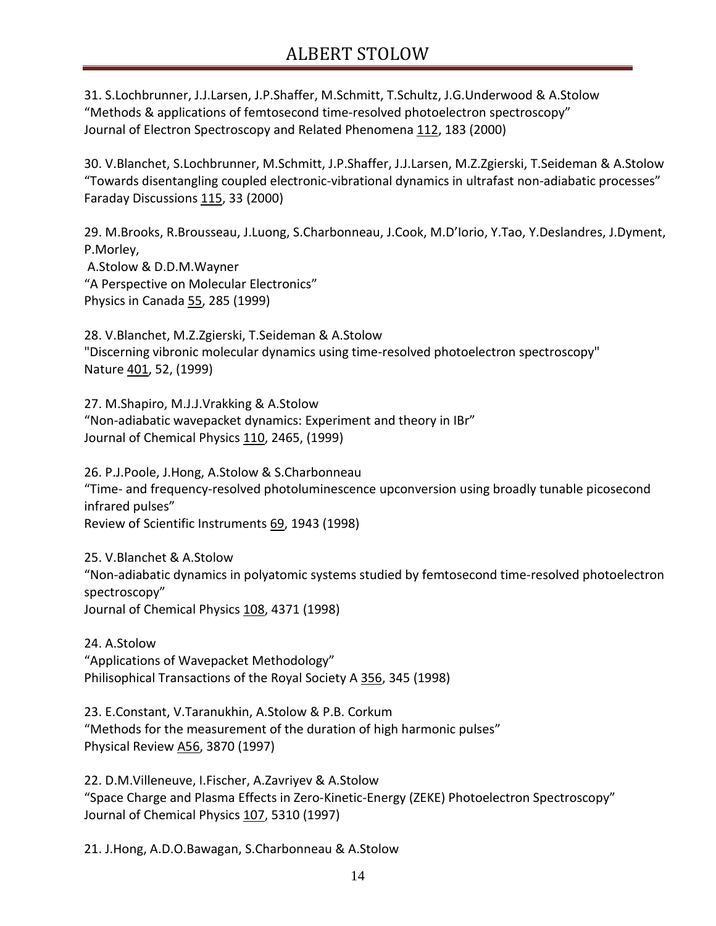31. S.Lochbrunner, J.J.Larsen, J.P.Shaffer, M.Schmitt, T.Schultz, J.G.Underwood & A.Stolow "Methods & applications of femtosecond time-resolved photoelectron spectroscopy" Journal of Electron Spectroscopy and Related Phenomena 112, 183 (2000)

30. V.Blanchet, S.Lochbrunner, M.Schmitt, J.P.Shaffer, J.J.Larsen, M.Z.Zgierski, T.Seideman & A.Stolow "Towards disentangling coupled electronic-vibrational dynamics in ultrafast non-adiabatic processes" Faraday Discussions 115, 33 (2000)

29. M.Brooks, R.Brousseau, J.Luong, S.Charbonneau, J.Cook, M.D'Iorio, Y.Tao, Y.Deslandres, J.Dyment, P.Morley, A.Stolow & D.D.M.Wayner

"A Perspective on Molecular Electronics" Physics in Canada 55, 285 (1999)

28. V.Blanchet, M.Z.Zgierski, T.Seideman & A.Stolow "Discerning vibronic molecular dynamics using time-resolved photoelectron spectroscopy" Nature 401, 52, (1999)

27. M.Shapiro, M.J.J.Vrakking & A.Stolow "Non-adiabatic wavepacket dynamics: Experiment and theory in IBr" Journal of Chemical Physics 110, 2465, (1999)

26. P.J.Poole, J.Hong, A.Stolow & S.Charbonneau "Time- and frequency-resolved photoluminescence upconversion using broadly tunable picosecond infrared pulses" Review of Scientific Instruments 69, 1943 (1998)

25. V.Blanchet & A.Stolow "Non-adiabatic dynamics in polyatomic systems studied by femtosecond time-resolved photoelectron spectroscopy" Journal of Chemical Physics 108, 4371 (1998)

24. A.Stolow "Applications of Wavepacket Methodology" Philisophical Transactions of the Royal Society A 356, 345 (1998)

23. E.Constant, V.Taranukhin, A.Stolow & P.B. Corkum "Methods for the measurement of the duration of high harmonic pulses" Physical Review A56, 3870 (1997)

22. D.M.Villeneuve, I.Fischer, A.Zavriyev & A.Stolow "Space Charge and Plasma Effects in Zero-Kinetic-Energy (ZEKE) Photoelectron Spectroscopy" Journal of Chemical Physics 107, 5310 (1997)

21. J.Hong, A.D.O.Bawagan, S.Charbonneau & A.Stolow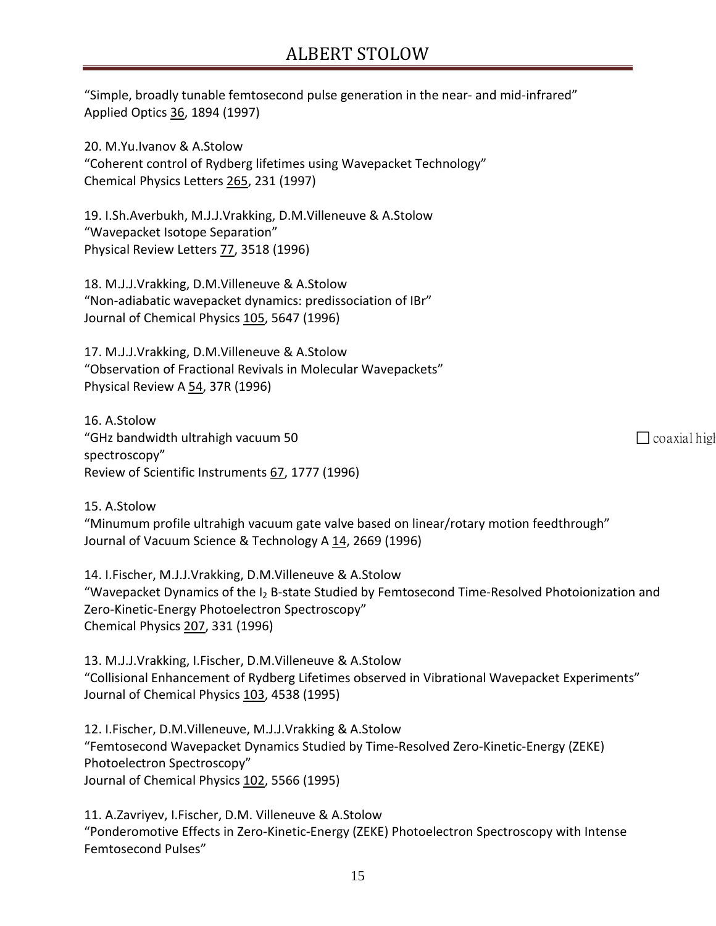"Simple, broadly tunable femtosecond pulse generation in the near- and mid-infrared" Applied Optics 36, 1894 (1997)

20. M.Yu.Ivanov & A.Stolow "Coherent control of Rydberg lifetimes using Wavepacket Technology" Chemical Physics Letters 265, 231 (1997)

19. I.Sh.Averbukh, M.J.J.Vrakking, D.M.Villeneuve & A.Stolow "Wavepacket Isotope Separation" Physical Review Letters 77, 3518 (1996)

18. M.J.J.Vrakking, D.M.Villeneuve & A.Stolow "Non-adiabatic wavepacket dynamics: predissociation of IBr" Journal of Chemical Physics 105, 5647 (1996)

17. M.J.J.Vrakking, D.M.Villeneuve & A.Stolow "Observation of Fractional Revivals in Molecular Wavepackets" Physical Review A 54, 37R (1996)

16. A.Stolow "GHz bandwidth ultrahigh vacuum 50  $\Box$  coaxial high spectroscopy" Review of Scientific Instruments 67, 1777 (1996)

15. A.Stolow "Minumum profile ultrahigh vacuum gate valve based on linear/rotary motion feedthrough" Journal of Vacuum Science & Technology A 14, 2669 (1996)

14. I.Fischer, M.J.J.Vrakking, D.M.Villeneuve & A.Stolow "Wavepacket Dynamics of the  $I_2$  B-state Studied by Femtosecond Time-Resolved Photoionization and Zero-Kinetic-Energy Photoelectron Spectroscopy" Chemical Physics 207, 331 (1996)

13. M.J.J.Vrakking, I.Fischer, D.M.Villeneuve & A.Stolow "Collisional Enhancement of Rydberg Lifetimes observed in Vibrational Wavepacket Experiments" Journal of Chemical Physics 103, 4538 (1995)

12. I.Fischer, D.M.Villeneuve, M.J.J.Vrakking & A.Stolow "Femtosecond Wavepacket Dynamics Studied by Time-Resolved Zero-Kinetic-Energy (ZEKE) Photoelectron Spectroscopy" Journal of Chemical Physics 102, 5566 (1995)

11. A.Zavriyev, I.Fischer, D.M. Villeneuve & A.Stolow "Ponderomotive Effects in Zero-Kinetic-Energy (ZEKE) Photoelectron Spectroscopy with Intense Femtosecond Pulses"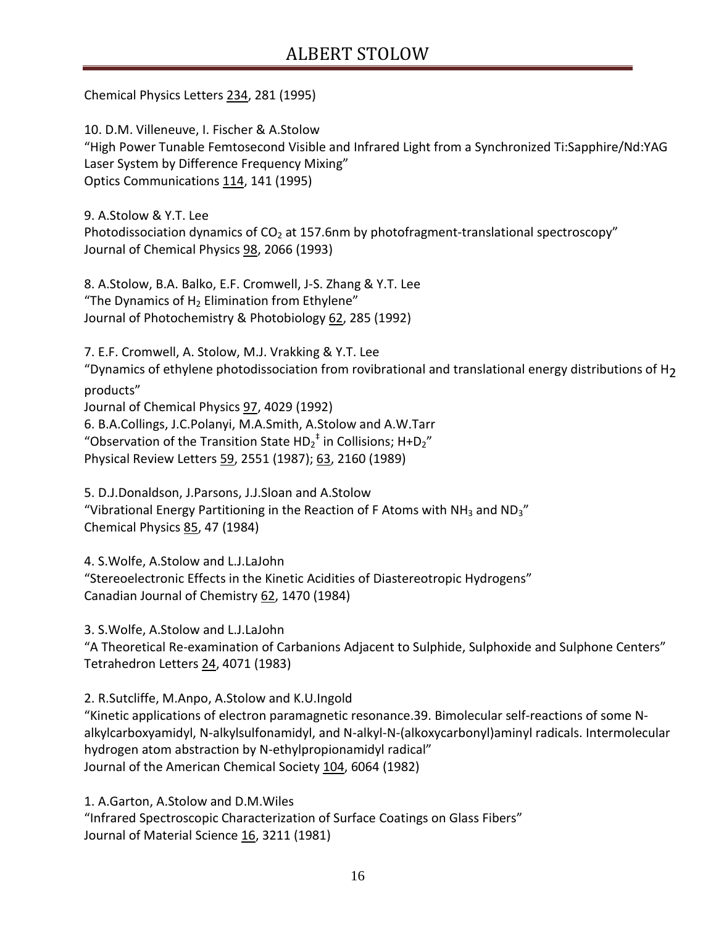Chemical Physics Letters 234, 281 (1995)

10. D.M. Villeneuve, I. Fischer & A.Stolow "High Power Tunable Femtosecond Visible and Infrared Light from a Synchronized Ti:Sapphire/Nd:YAG Laser System by Difference Frequency Mixing" Optics Communications 114, 141 (1995)

9. A.Stolow & Y.T. Lee Photodissociation dynamics of  $CO<sub>2</sub>$  at 157.6nm by photofragment-translational spectroscopy" Journal of Chemical Physics 98, 2066 (1993)

8. A.Stolow, B.A. Balko, E.F. Cromwell, J-S. Zhang & Y.T. Lee "The Dynamics of  $H_2$  Elimination from Ethylene" Journal of Photochemistry & Photobiology 62, 285 (1992)

7. E.F. Cromwell, A. Stolow, M.J. Vrakking & Y.T. Lee "Dynamics of ethylene photodissociation from rovibrational and translational energy distributions of H2 products" Journal of Chemical Physics 97, 4029 (1992) 6. B.A.Collings, J.C.Polanyi, M.A.Smith, A.Stolow and A.W.Tarr "Observation of the Transition State  $HD_2^{\dagger}$  in Collisions; H+D<sub>2</sub>" Physical Review Letters 59, 2551 (1987); 63, 2160 (1989)

5. D.J.Donaldson, J.Parsons, J.J.Sloan and A.Stolow "Vibrational Energy Partitioning in the Reaction of F Atoms with NH<sub>3</sub> and ND<sub>3</sub>" Chemical Physics 85, 47 (1984)

4. S.Wolfe, A.Stolow and L.J.LaJohn

"Stereoelectronic Effects in the Kinetic Acidities of Diastereotropic Hydrogens" Canadian Journal of Chemistry 62, 1470 (1984)

3. S.Wolfe, A.Stolow and L.J.LaJohn

"A Theoretical Re-examination of Carbanions Adjacent to Sulphide, Sulphoxide and Sulphone Centers" Tetrahedron Letters 24, 4071 (1983)

2. R.Sutcliffe, M.Anpo, A.Stolow and K.U.Ingold

"Kinetic applications of electron paramagnetic resonance.39. Bimolecular self-reactions of some Nalkylcarboxyamidyl, N-alkylsulfonamidyl, and N-alkyl-N-(alkoxycarbonyl)aminyl radicals. Intermolecular hydrogen atom abstraction by N-ethylpropionamidyl radical" Journal of the American Chemical Society 104, 6064 (1982)

1. A.Garton, A.Stolow and D.M.Wiles "Infrared Spectroscopic Characterization of Surface Coatings on Glass Fibers" Journal of Material Science 16, 3211 (1981)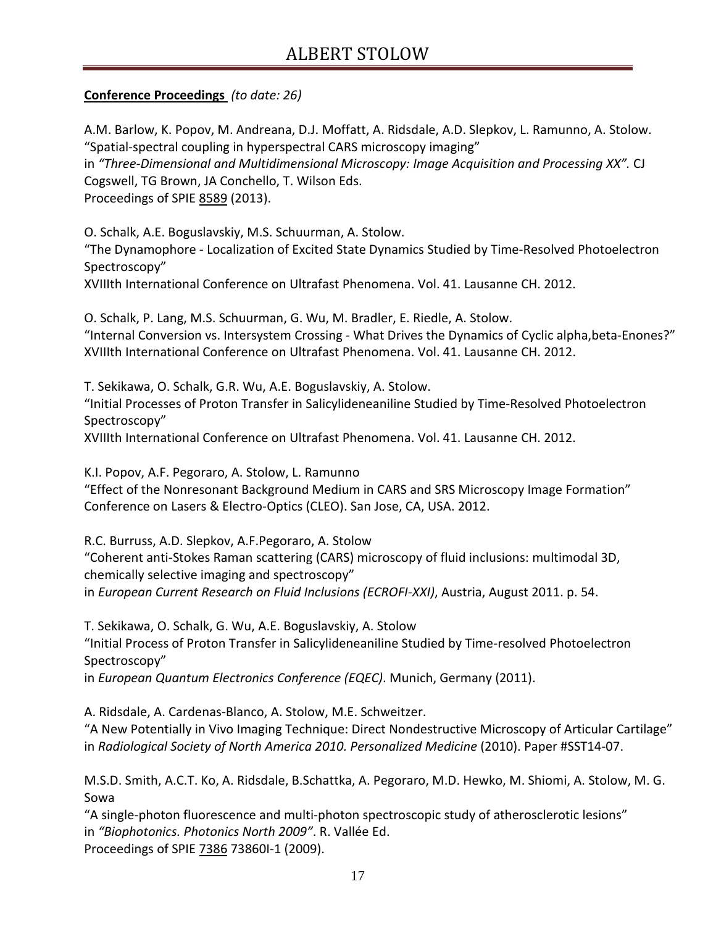### **Conference Proceedings** *(to date: 26)*

A.M. Barlow, K. Popov, M. Andreana, D.J. Moffatt, A. Ridsdale, A.D. Slepkov, L. Ramunno, A. Stolow. "Spatial-spectral coupling in hyperspectral CARS microscopy imaging" in *"Three-Dimensional and Multidimensional Microscopy: Image Acquisition and Processing XX".* CJ Cogswell, TG Brown, JA Conchello, T. Wilson Eds. Proceedings of SPIE 8589 (2013).

O. Schalk, A.E. Boguslavskiy, M.S. Schuurman, A. Stolow.

"The Dynamophore - Localization of Excited State Dynamics Studied by Time-Resolved Photoelectron Spectroscopy"

XVIIIth International Conference on Ultrafast Phenomena. Vol. 41. Lausanne CH. 2012.

O. Schalk, P. Lang, M.S. Schuurman, G. Wu, M. Bradler, E. Riedle, A. Stolow. "Internal Conversion vs. Intersystem Crossing - What Drives the Dynamics of Cyclic alpha,beta-Enones?" XVIIIth International Conference on Ultrafast Phenomena. Vol. 41. Lausanne CH. 2012.

T. Sekikawa, O. Schalk, G.R. Wu, A.E. Boguslavskiy, A. Stolow.

"Initial Processes of Proton Transfer in Salicylideneaniline Studied by Time-Resolved Photoelectron Spectroscopy"

XVIIIth International Conference on Ultrafast Phenomena. Vol. 41. Lausanne CH. 2012.

K.I. Popov, A.F. Pegoraro, A. Stolow, L. Ramunno

"Effect of the Nonresonant Background Medium in CARS and SRS Microscopy Image Formation" Conference on Lasers & Electro-Optics (CLEO). San Jose, CA, USA. 2012.

R.C. Burruss, A.D. Slepkov, A.F.Pegoraro, A. Stolow "Coherent anti-Stokes Raman scattering (CARS) microscopy of fluid inclusions: multimodal 3D, chemically selective imaging and spectroscopy" in *European Current Research on Fluid Inclusions (ECROFI-XXI)*, Austria, August 2011. p. 54.

T. Sekikawa, O. Schalk, G. Wu, A.E. Boguslavskiy, A. Stolow "Initial Process of Proton Transfer in Salicylideneaniline Studied by Time-resolved Photoelectron Spectroscopy" in *European Quantum Electronics Conference (EQEC)*. Munich, Germany (2011).

A. Ridsdale, A. Cardenas-Blanco, A. Stolow, M.E. Schweitzer.

"A New Potentially in Vivo Imaging Technique: Direct Nondestructive Microscopy of Articular Cartilage" in *Radiological Society of North America 2010. Personalized Medicine* (2010). Paper #SST14-07.

M.S.D. Smith, A.C.T. Ko, A. Ridsdale, B.Schattka, A. Pegoraro, M.D. Hewko, M. Shiomi, A. Stolow, M. G. Sowa

"A single-photon fluorescence and multi-photon spectroscopic study of atherosclerotic lesions" in *"Biophotonics. Photonics North 2009"*. R. Vallée Ed. Proceedings of SPIE 7386 73860I-1 (2009).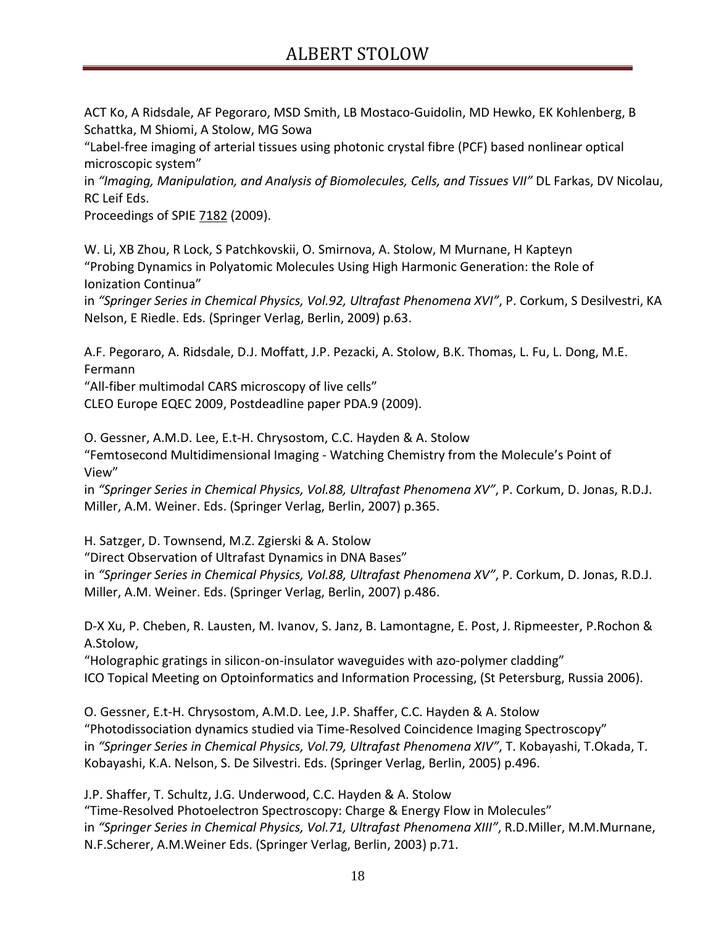ACT Ko, A Ridsdale, AF Pegoraro, MSD Smith, LB Mostaco-Guidolin, MD Hewko, EK Kohlenberg, B Schattka, M Shiomi, A Stolow, MG Sowa

"Label-free imaging of arterial tissues using photonic crystal fibre (PCF) based nonlinear optical microscopic system"

in *"Imaging, Manipulation, and Analysis of Biomolecules, Cells, and Tissues VII"* DL Farkas, DV Nicolau, RC Leif Eds.

Proceedings of SPIE 7182 (2009).

W. Li, XB Zhou, R Lock, S Patchkovskii, O. Smirnova, A. Stolow, M Murnane, H Kapteyn "Probing Dynamics in Polyatomic Molecules Using High Harmonic Generation: the Role of Ionization Continua"

in *"Springer Series in Chemical Physics, Vol.92, Ultrafast Phenomena XVI"*, P. Corkum, S Desilvestri, KA Nelson, E Riedle. Eds. (Springer Verlag, Berlin, 2009) p.63.

A.F. Pegoraro, A. Ridsdale, D.J. Moffatt, J.P. Pezacki, A. Stolow, B.K. Thomas, L. Fu, L. Dong, M.E. Fermann

"All-fiber multimodal CARS microscopy of live cells"

CLEO Europe EQEC 2009, Postdeadline paper PDA.9 (2009).

O. Gessner, A.M.D. Lee, E.t-H. Chrysostom, C.C. Hayden & A. Stolow "Femtosecond Multidimensional Imaging - Watching Chemistry from the Molecule's Point of View"

in *"Springer Series in Chemical Physics, Vol.88, Ultrafast Phenomena XV"*, P. Corkum, D. Jonas, R.D.J. Miller, A.M. Weiner. Eds. (Springer Verlag, Berlin, 2007) p.365.

H. Satzger, D. Townsend, M.Z. Zgierski & A. Stolow

"Direct Observation of Ultrafast Dynamics in DNA Bases"

in *"Springer Series in Chemical Physics, Vol.88, Ultrafast Phenomena XV"*, P. Corkum, D. Jonas, R.D.J. Miller, A.M. Weiner. Eds. (Springer Verlag, Berlin, 2007) p.486.

D-X Xu, P. Cheben, R. Lausten, M. Ivanov, S. Janz, B. Lamontagne, E. Post, J. Ripmeester, P.Rochon & A.Stolow,

"Holographic gratings in silicon-on-insulator waveguides with azo-polymer cladding" ICO Topical Meeting on Optoinformatics and Information Processing, (St Petersburg, Russia 2006).

O. Gessner, E.t-H. Chrysostom, A.M.D. Lee, J.P. Shaffer, C.C. Hayden & A. Stolow "Photodissociation dynamics studied via Time-Resolved Coincidence Imaging Spectroscopy" in *"Springer Series in Chemical Physics, Vol.79, Ultrafast Phenomena XIV"*, T. Kobayashi, T.Okada, T. Kobayashi, K.A. Nelson, S. De Silvestri. Eds. (Springer Verlag, Berlin, 2005) p.496.

J.P. Shaffer, T. Schultz, J.G. Underwood, C.C. Hayden & A. Stolow "Time-Resolved Photoelectron Spectroscopy: Charge & Energy Flow in Molecules" in *"Springer Series in Chemical Physics, Vol.71, Ultrafast Phenomena XIII"*, R.D.Miller, M.M.Murnane, N.F.Scherer, A.M.Weiner Eds. (Springer Verlag, Berlin, 2003) p.71.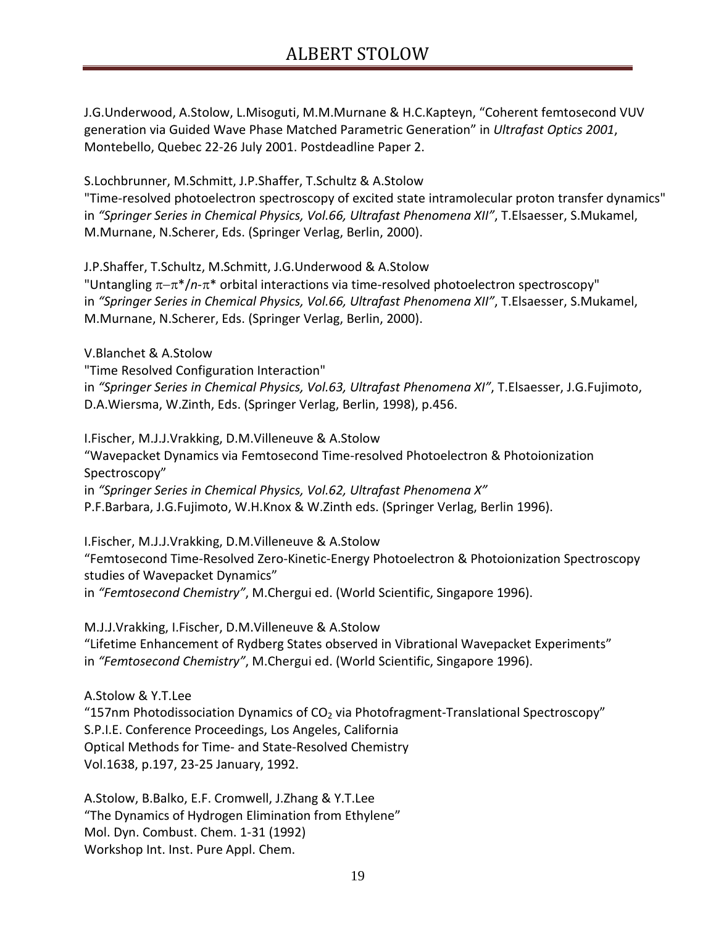J.G.Underwood, A.Stolow, L.Misoguti, M.M.Murnane & H.C.Kapteyn, "Coherent femtosecond VUV generation via Guided Wave Phase Matched Parametric Generation" in *Ultrafast Optics 2001*, Montebello, Quebec 22-26 July 2001. Postdeadline Paper 2.

S.Lochbrunner, M.Schmitt, J.P.Shaffer, T.Schultz & A.Stolow

"Time-resolved photoelectron spectroscopy of excited state intramolecular proton transfer dynamics" in *"Springer Series in Chemical Physics, Vol.66, Ultrafast Phenomena XII"*, T.Elsaesser, S.Mukamel, M.Murnane, N.Scherer, Eds. (Springer Verlag, Berlin, 2000).

J.P.Shaffer, T.Schultz, M.Schmitt, J.G.Underwood & A.Stolow

"Untangling π−π\*/*n*-π\* orbital interactions via time-resolved photoelectron spectroscopy" in *"Springer Series in Chemical Physics, Vol.66, Ultrafast Phenomena XII"*, T.Elsaesser, S.Mukamel, M.Murnane, N.Scherer, Eds. (Springer Verlag, Berlin, 2000).

V.Blanchet & A.Stolow "Time Resolved Configuration Interaction" in *"Springer Series in Chemical Physics, Vol.63, Ultrafast Phenomena XI"*, T.Elsaesser, J.G.Fujimoto, D.A.Wiersma, W.Zinth, Eds. (Springer Verlag, Berlin, 1998), p.456.

I.Fischer, M.J.J.Vrakking, D.M.Villeneuve & A.Stolow "Wavepacket Dynamics via Femtosecond Time-resolved Photoelectron & Photoionization Spectroscopy" in *"Springer Series in Chemical Physics, Vol.62, Ultrafast Phenomena X"* P.F.Barbara, J.G.Fujimoto, W.H.Knox & W.Zinth eds. (Springer Verlag, Berlin 1996).

I.Fischer, M.J.J.Vrakking, D.M.Villeneuve & A.Stolow "Femtosecond Time-Resolved Zero-Kinetic-Energy Photoelectron & Photoionization Spectroscopy studies of Wavepacket Dynamics" in *"Femtosecond Chemistry"*, M.Chergui ed. (World Scientific, Singapore 1996).

M.J.J.Vrakking, I.Fischer, D.M.Villeneuve & A.Stolow "Lifetime Enhancement of Rydberg States observed in Vibrational Wavepacket Experiments" in *"Femtosecond Chemistry"*, M.Chergui ed. (World Scientific, Singapore 1996).

A.Stolow & Y.T.Lee "157nm Photodissociation Dynamics of  $CO<sub>2</sub>$  via Photofragment-Translational Spectroscopy" S.P.I.E. Conference Proceedings, Los Angeles, California Optical Methods for Time- and State-Resolved Chemistry Vol.1638, p.197, 23-25 January, 1992.

A.Stolow, B.Balko, E.F. Cromwell, J.Zhang & Y.T.Lee "The Dynamics of Hydrogen Elimination from Ethylene" Mol. Dyn. Combust. Chem. 1-31 (1992) Workshop Int. Inst. Pure Appl. Chem.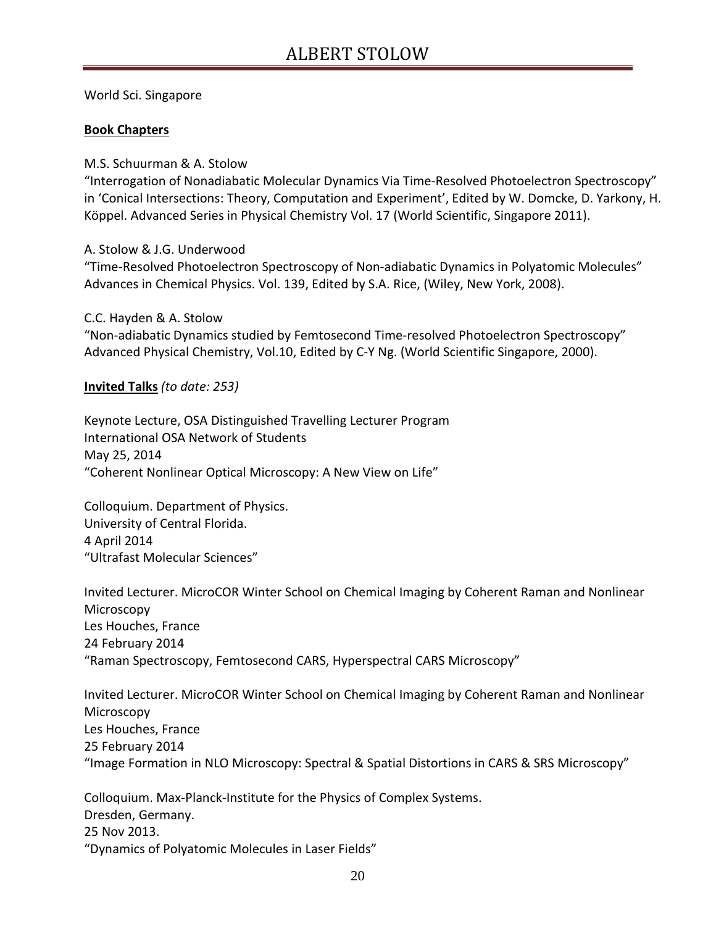World Sci. Singapore

#### **Book Chapters**

M.S. Schuurman & A. Stolow

"Interrogation of Nonadiabatic Molecular Dynamics Via Time-Resolved Photoelectron Spectroscopy" in 'Conical Intersections: Theory, Computation and Experiment', Edited by W. Domcke, D. Yarkony, H. Köppel. Advanced Series in Physical Chemistry Vol. 17 (World Scientific, Singapore 2011).

A. Stolow & J.G. Underwood

"Time-Resolved Photoelectron Spectroscopy of Non-adiabatic Dynamics in Polyatomic Molecules" Advances in Chemical Physics. Vol. 139, Edited by S.A. Rice, (Wiley, New York, 2008).

C.C. Hayden & A. Stolow "Non-adiabatic Dynamics studied by Femtosecond Time-resolved Photoelectron Spectroscopy" Advanced Physical Chemistry, Vol.10, Edited by C-Y Ng. (World Scientific Singapore, 2000).

**Invited Talks** *(to date: 253)*

Keynote Lecture, OSA Distinguished Travelling Lecturer Program International OSA Network of Students May 25, 2014 "Coherent Nonlinear Optical Microscopy: A New View on Life"

Colloquium. Department of Physics. University of Central Florida. 4 April 2014 "Ultrafast Molecular Sciences"

Invited Lecturer. MicroCOR Winter School on Chemical Imaging by Coherent Raman and Nonlinear Microscopy Les Houches, France 24 February 2014 "Raman Spectroscopy, Femtosecond CARS, Hyperspectral CARS Microscopy"

Invited Lecturer. MicroCOR Winter School on Chemical Imaging by Coherent Raman and Nonlinear Microscopy Les Houches, France 25 February 2014 "Image Formation in NLO Microscopy: Spectral & Spatial Distortions in CARS & SRS Microscopy"

Colloquium. Max-Planck-Institute for the Physics of Complex Systems. Dresden, Germany. 25 Nov 2013. "Dynamics of Polyatomic Molecules in Laser Fields"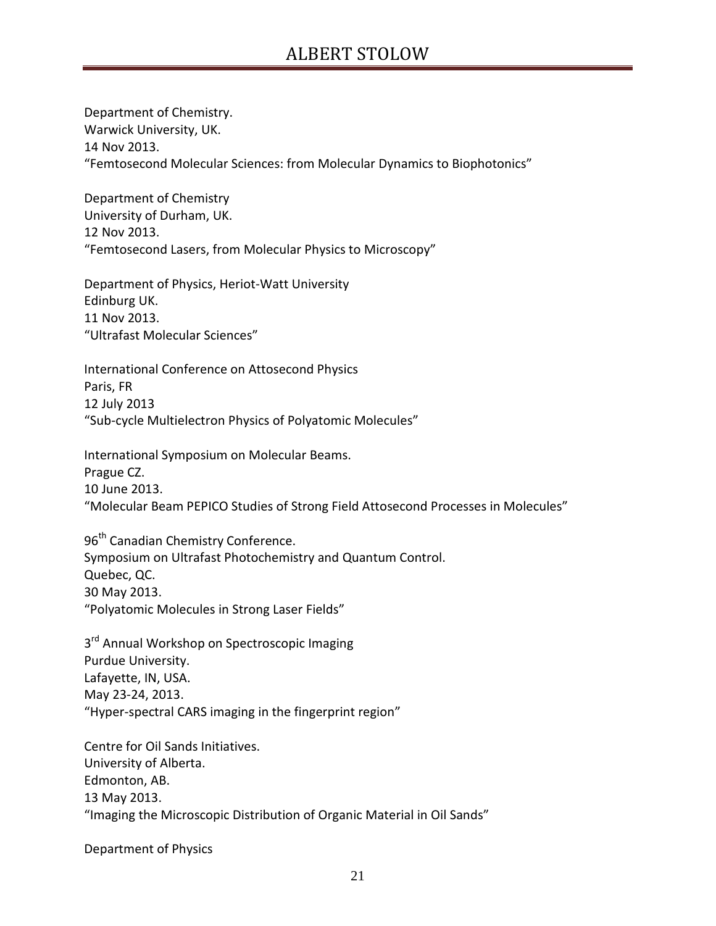Department of Chemistry. Warwick University, UK. 14 Nov 2013. "Femtosecond Molecular Sciences: from Molecular Dynamics to Biophotonics"

Department of Chemistry University of Durham, UK. 12 Nov 2013. "Femtosecond Lasers, from Molecular Physics to Microscopy"

Department of Physics, Heriot-Watt University Edinburg UK. 11 Nov 2013. "Ultrafast Molecular Sciences"

International Conference on Attosecond Physics Paris, FR 12 July 2013 "Sub-cycle Multielectron Physics of Polyatomic Molecules"

International Symposium on Molecular Beams. Prague CZ. 10 June 2013. "Molecular Beam PEPICO Studies of Strong Field Attosecond Processes in Molecules"

96<sup>th</sup> Canadian Chemistry Conference. Symposium on Ultrafast Photochemistry and Quantum Control. Quebec, QC. 30 May 2013. "Polyatomic Molecules in Strong Laser Fields"

3<sup>rd</sup> Annual Workshop on Spectroscopic Imaging Purdue University. Lafayette, IN, USA. May 23-24, 2013. "Hyper-spectral CARS imaging in the fingerprint region"

Centre for Oil Sands Initiatives. University of Alberta. Edmonton, AB. 13 May 2013. "Imaging the Microscopic Distribution of Organic Material in Oil Sands"

Department of Physics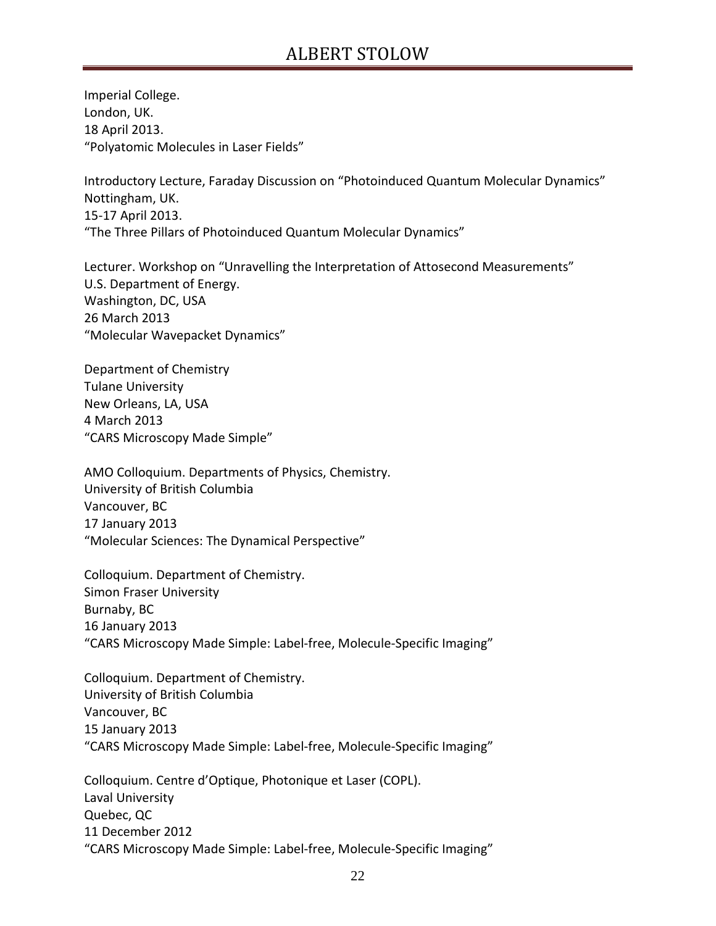Imperial College. London, UK. 18 April 2013. "Polyatomic Molecules in Laser Fields"

Introductory Lecture, Faraday Discussion on "Photoinduced Quantum Molecular Dynamics" Nottingham, UK. 15-17 April 2013. "The Three Pillars of Photoinduced Quantum Molecular Dynamics"

Lecturer. Workshop on "Unravelling the Interpretation of Attosecond Measurements" U.S. Department of Energy. Washington, DC, USA 26 March 2013 "Molecular Wavepacket Dynamics"

Department of Chemistry Tulane University New Orleans, LA, USA 4 March 2013 "CARS Microscopy Made Simple"

AMO Colloquium. Departments of Physics, Chemistry. University of British Columbia Vancouver, BC 17 January 2013 "Molecular Sciences: The Dynamical Perspective"

Colloquium. Department of Chemistry. Simon Fraser University Burnaby, BC 16 January 2013 "CARS Microscopy Made Simple: Label-free, Molecule-Specific Imaging"

Colloquium. Department of Chemistry. University of British Columbia Vancouver, BC 15 January 2013 "CARS Microscopy Made Simple: Label-free, Molecule-Specific Imaging"

Colloquium. Centre d'Optique, Photonique et Laser (COPL). Laval University Quebec, QC 11 December 2012 "CARS Microscopy Made Simple: Label-free, Molecule-Specific Imaging"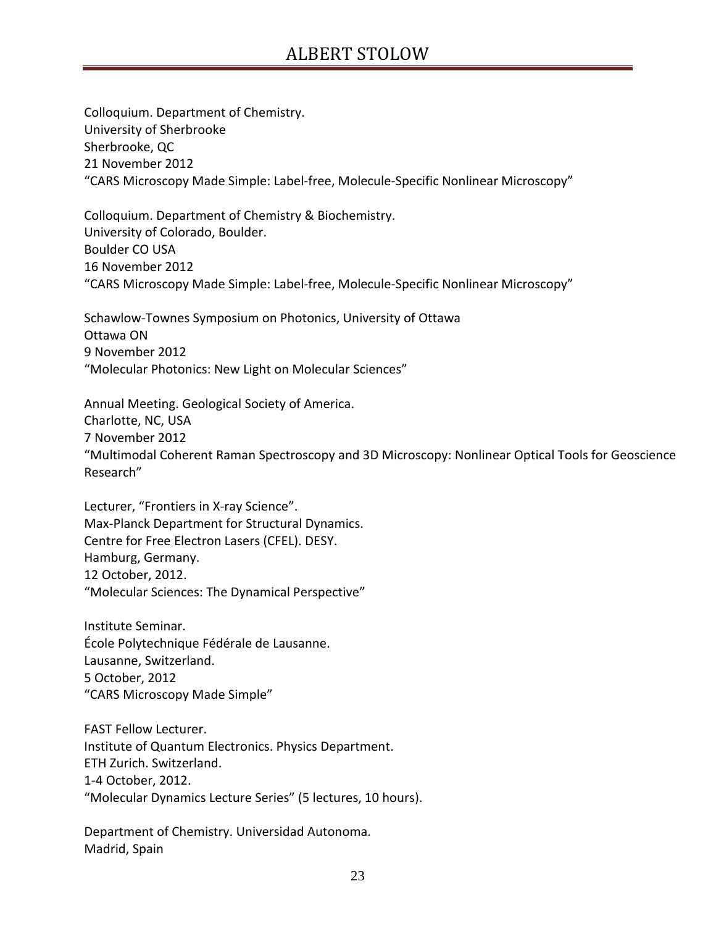Colloquium. Department of Chemistry. University of Sherbrooke Sherbrooke, QC 21 November 2012 "CARS Microscopy Made Simple: Label-free, Molecule-Specific Nonlinear Microscopy"

Colloquium. Department of Chemistry & Biochemistry. University of Colorado, Boulder. Boulder CO USA 16 November 2012 "CARS Microscopy Made Simple: Label-free, Molecule-Specific Nonlinear Microscopy"

Schawlow-Townes Symposium on Photonics, University of Ottawa Ottawa ON 9 November 2012 "Molecular Photonics: New Light on Molecular Sciences"

Annual Meeting. Geological Society of America. Charlotte, NC, USA 7 November 2012 "Multimodal Coherent Raman Spectroscopy and 3D Microscopy: Nonlinear Optical Tools for Geoscience Research"

Lecturer, "Frontiers in X-ray Science". Max-Planck Department for Structural Dynamics. Centre for Free Electron Lasers (CFEL). DESY. Hamburg, Germany. 12 October, 2012. "Molecular Sciences: The Dynamical Perspective"

Institute Seminar. École Polytechnique Fédérale de Lausanne. Lausanne, Switzerland. 5 October, 2012 "CARS Microscopy Made Simple"

FAST Fellow Lecturer. Institute of Quantum Electronics. Physics Department. ETH Zurich. Switzerland. 1-4 October, 2012. "Molecular Dynamics Lecture Series" (5 lectures, 10 hours).

Department of Chemistry. Universidad Autonoma. Madrid, Spain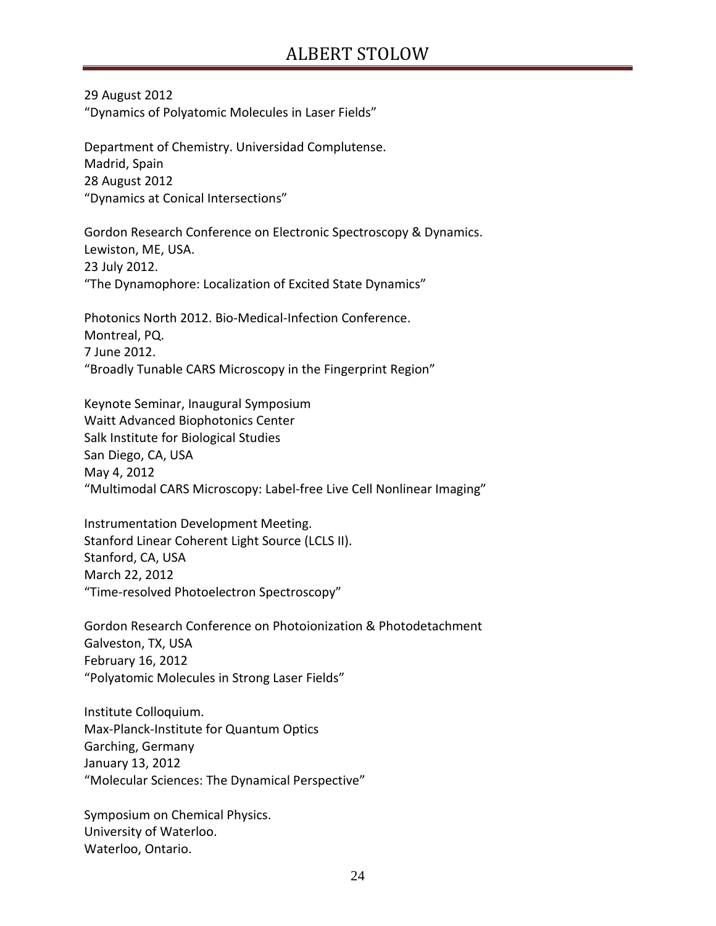29 August 2012 "Dynamics of Polyatomic Molecules in Laser Fields"

Department of Chemistry. Universidad Complutense. Madrid, Spain 28 August 2012 "Dynamics at Conical Intersections"

Gordon Research Conference on Electronic Spectroscopy & Dynamics. Lewiston, ME, USA. 23 July 2012. "The Dynamophore: Localization of Excited State Dynamics"

Photonics North 2012. Bio-Medical-Infection Conference. Montreal, PQ. 7 June 2012. "Broadly Tunable CARS Microscopy in the Fingerprint Region"

Keynote Seminar, Inaugural Symposium Waitt Advanced Biophotonics Center Salk Institute for Biological Studies San Diego, CA, USA May 4, 2012 "Multimodal CARS Microscopy: Label-free Live Cell Nonlinear Imaging"

Instrumentation Development Meeting. Stanford Linear Coherent Light Source (LCLS II). Stanford, CA, USA March 22, 2012 "Time-resolved Photoelectron Spectroscopy"

Gordon Research Conference on Photoionization & Photodetachment Galveston, TX, USA February 16, 2012 "Polyatomic Molecules in Strong Laser Fields"

Institute Colloquium. Max-Planck-Institute for Quantum Optics Garching, Germany January 13, 2012 "Molecular Sciences: The Dynamical Perspective"

Symposium on Chemical Physics. University of Waterloo. Waterloo, Ontario.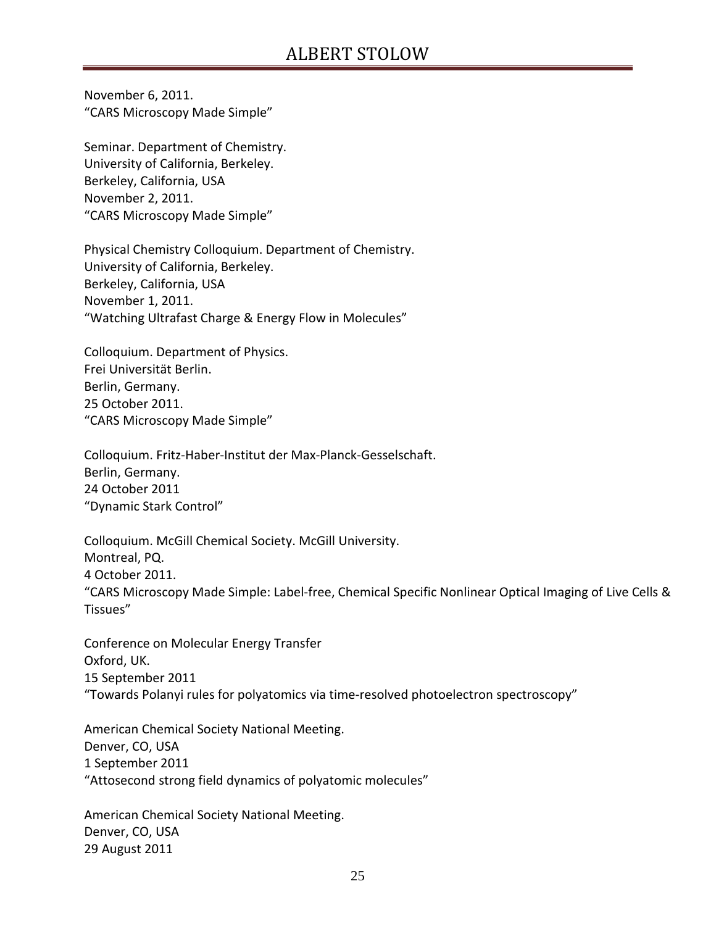November 6, 2011. "CARS Microscopy Made Simple"

Seminar. Department of Chemistry. University of California, Berkeley. Berkeley, California, USA November 2, 2011. "CARS Microscopy Made Simple"

Physical Chemistry Colloquium. Department of Chemistry. University of California, Berkeley. Berkeley, California, USA November 1, 2011. "Watching Ultrafast Charge & Energy Flow in Molecules"

Colloquium. Department of Physics. Frei Universität Berlin. Berlin, Germany. 25 October 2011. "CARS Microscopy Made Simple"

Colloquium. Fritz-Haber-Institut der Max-Planck-Gesselschaft. Berlin, Germany. 24 October 2011 "Dynamic Stark Control"

Colloquium. McGill Chemical Society. McGill University. Montreal, PQ. 4 October 2011. "CARS Microscopy Made Simple: Label-free, Chemical Specific Nonlinear Optical Imaging of Live Cells & Tissues"

Conference on Molecular Energy Transfer Oxford, UK. 15 September 2011 "Towards Polanyi rules for polyatomics via time-resolved photoelectron spectroscopy"

American Chemical Society National Meeting. Denver, CO, USA 1 September 2011 "Attosecond strong field dynamics of polyatomic molecules"

American Chemical Society National Meeting. Denver, CO, USA 29 August 2011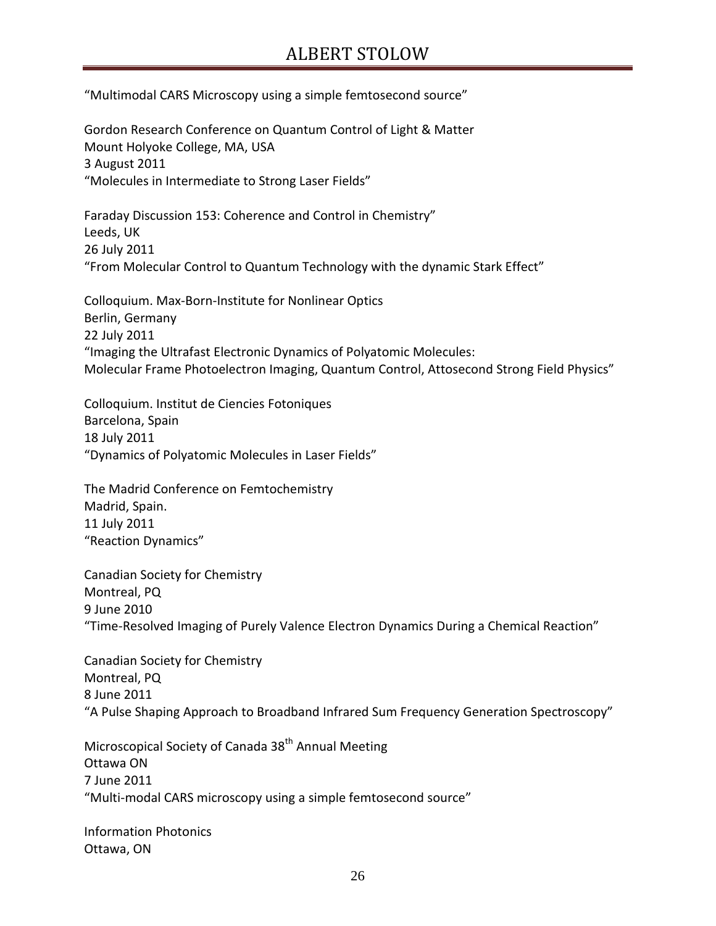"Multimodal CARS Microscopy using a simple femtosecond source"

Gordon Research Conference on Quantum Control of Light & Matter Mount Holyoke College, MA, USA 3 August 2011 "Molecules in Intermediate to Strong Laser Fields"

Faraday Discussion 153: Coherence and Control in Chemistry" Leeds, UK 26 July 2011 "From Molecular Control to Quantum Technology with the dynamic Stark Effect"

Colloquium. Max-Born-Institute for Nonlinear Optics Berlin, Germany 22 July 2011 "Imaging the Ultrafast Electronic Dynamics of Polyatomic Molecules: Molecular Frame Photoelectron Imaging, Quantum Control, Attosecond Strong Field Physics"

Colloquium. Institut de Ciencies Fotoniques Barcelona, Spain 18 July 2011 "Dynamics of Polyatomic Molecules in Laser Fields"

The Madrid Conference on Femtochemistry Madrid, Spain. 11 July 2011 "Reaction Dynamics"

Canadian Society for Chemistry Montreal, PQ 9 June 2010 "Time-Resolved Imaging of Purely Valence Electron Dynamics During a Chemical Reaction"

Canadian Society for Chemistry Montreal, PQ 8 June 2011 "A Pulse Shaping Approach to Broadband Infrared Sum Frequency Generation Spectroscopy"

Microscopical Society of Canada 38<sup>th</sup> Annual Meeting Ottawa ON 7 June 2011 "Multi-modal CARS microscopy using a simple femtosecond source"

Information Photonics Ottawa, ON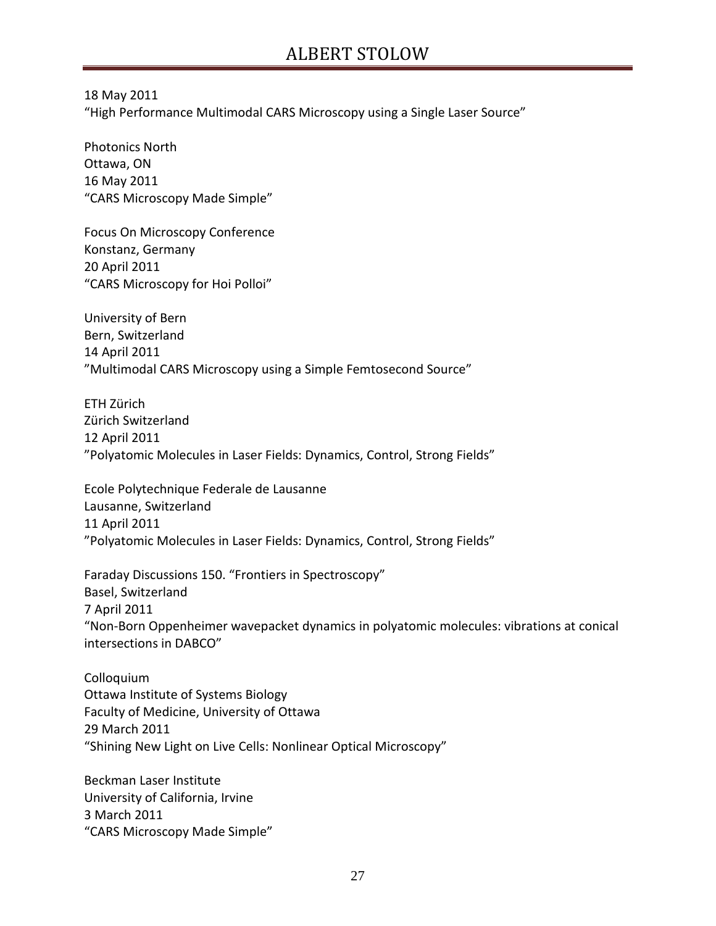18 May 2011 "High Performance Multimodal CARS Microscopy using a Single Laser Source"

Photonics North Ottawa, ON 16 May 2011 "CARS Microscopy Made Simple"

Focus On Microscopy Conference Konstanz, Germany 20 April 2011 "CARS Microscopy for Hoi Polloi"

University of Bern Bern, Switzerland 14 April 2011 "Multimodal CARS Microscopy using a Simple Femtosecond Source"

ETH Zürich Zürich Switzerland 12 April 2011 "Polyatomic Molecules in Laser Fields: Dynamics, Control, Strong Fields"

Ecole Polytechnique Federale de Lausanne Lausanne, Switzerland 11 April 2011 "Polyatomic Molecules in Laser Fields: Dynamics, Control, Strong Fields"

Faraday Discussions 150. "Frontiers in Spectroscopy" Basel, Switzerland 7 April 2011 "Non-Born Oppenheimer wavepacket dynamics in polyatomic molecules: vibrations at conical intersections in DABCO"

Colloquium Ottawa Institute of Systems Biology Faculty of Medicine, University of Ottawa 29 March 2011 "Shining New Light on Live Cells: Nonlinear Optical Microscopy"

Beckman Laser Institute University of California, Irvine 3 March 2011 "CARS Microscopy Made Simple"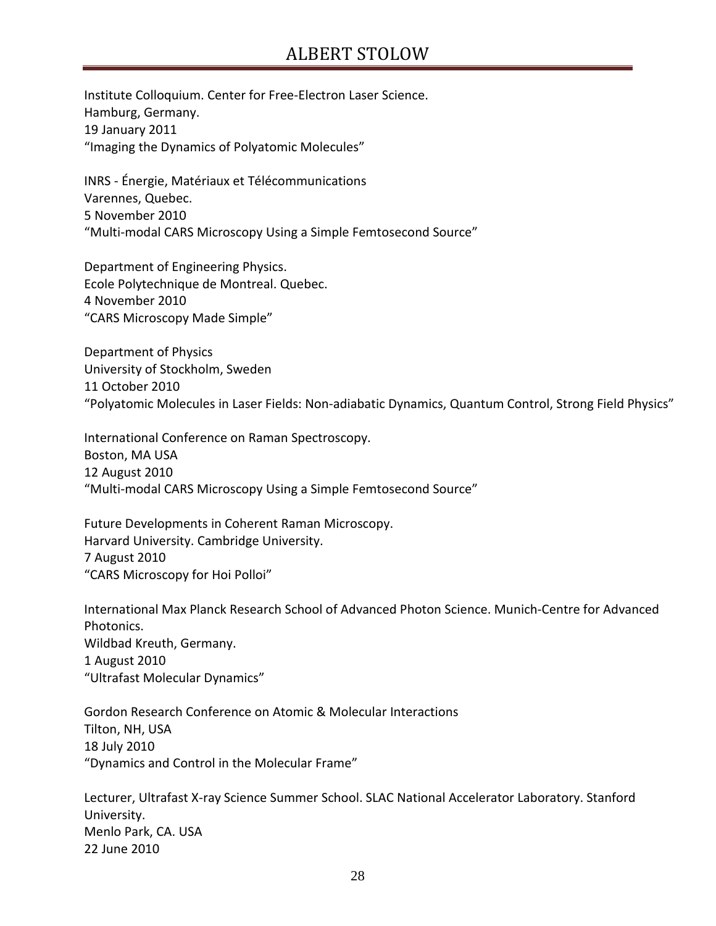Institute Colloquium. Center for Free-Electron Laser Science. Hamburg, Germany. 19 January 2011 "Imaging the Dynamics of Polyatomic Molecules"

INRS - Énergie, Matériaux et Télécommunications Varennes, Quebec. 5 November 2010 "Multi-modal CARS Microscopy Using a Simple Femtosecond Source"

Department of Engineering Physics. Ecole Polytechnique de Montreal. Quebec. 4 November 2010 "CARS Microscopy Made Simple"

Department of Physics University of Stockholm, Sweden 11 October 2010 "Polyatomic Molecules in Laser Fields: Non-adiabatic Dynamics, Quantum Control, Strong Field Physics"

International Conference on Raman Spectroscopy. Boston, MA USA 12 August 2010 "Multi-modal CARS Microscopy Using a Simple Femtosecond Source"

Future Developments in Coherent Raman Microscopy. Harvard University. Cambridge University. 7 August 2010 "CARS Microscopy for Hoi Polloi"

International Max Planck Research School of Advanced Photon Science. Munich-Centre for Advanced Photonics. Wildbad Kreuth, Germany. 1 August 2010 "Ultrafast Molecular Dynamics"

Gordon Research Conference on Atomic & Molecular Interactions Tilton, NH, USA 18 July 2010 "Dynamics and Control in the Molecular Frame"

Lecturer, Ultrafast X-ray Science Summer School. SLAC National Accelerator Laboratory. Stanford University. Menlo Park, CA. USA 22 June 2010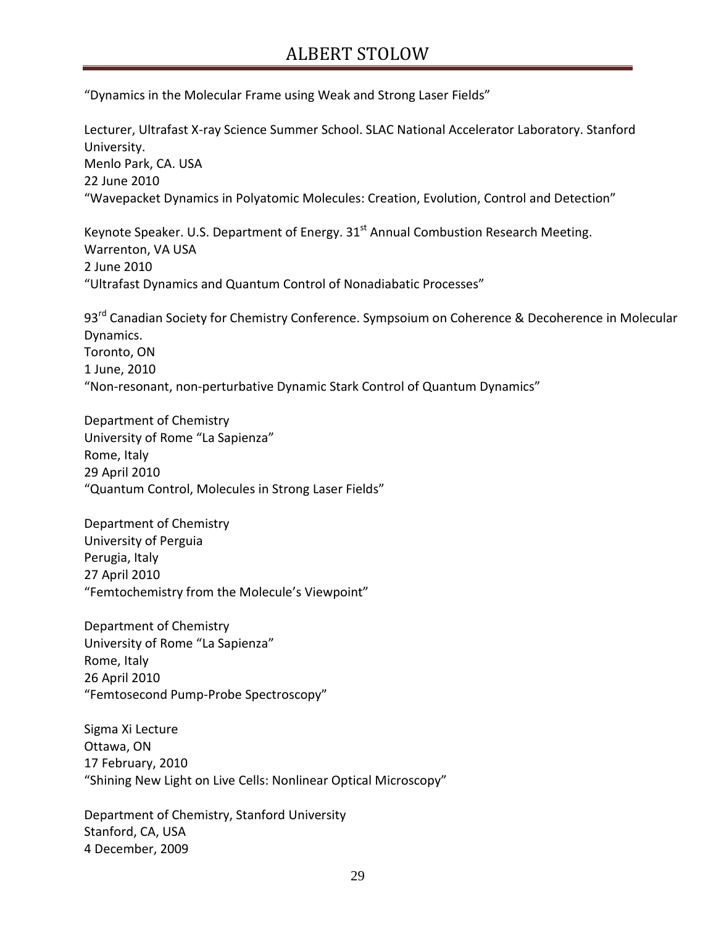"Dynamics in the Molecular Frame using Weak and Strong Laser Fields"

Lecturer, Ultrafast X-ray Science Summer School. SLAC National Accelerator Laboratory. Stanford University. Menlo Park, CA. USA 22 June 2010 "Wavepacket Dynamics in Polyatomic Molecules: Creation, Evolution, Control and Detection"

Keynote Speaker. U.S. Department of Energy.  $31<sup>st</sup>$  Annual Combustion Research Meeting. Warrenton, VA USA 2 June 2010 "Ultrafast Dynamics and Quantum Control of Nonadiabatic Processes"

93<sup>rd</sup> Canadian Society for Chemistry Conference. Sympsoium on Coherence & Decoherence in Molecular Dynamics. Toronto, ON 1 June, 2010 "Non-resonant, non-perturbative Dynamic Stark Control of Quantum Dynamics"

Department of Chemistry University of Rome "La Sapienza" Rome, Italy 29 April 2010 "Quantum Control, Molecules in Strong Laser Fields"

Department of Chemistry University of Perguia Perugia, Italy 27 April 2010 "Femtochemistry from the Molecule's Viewpoint"

Department of Chemistry University of Rome "La Sapienza" Rome, Italy 26 April 2010 "Femtosecond Pump-Probe Spectroscopy"

Sigma Xi Lecture Ottawa, ON 17 February, 2010 "Shining New Light on Live Cells: Nonlinear Optical Microscopy"

Department of Chemistry, Stanford University Stanford, CA, USA 4 December, 2009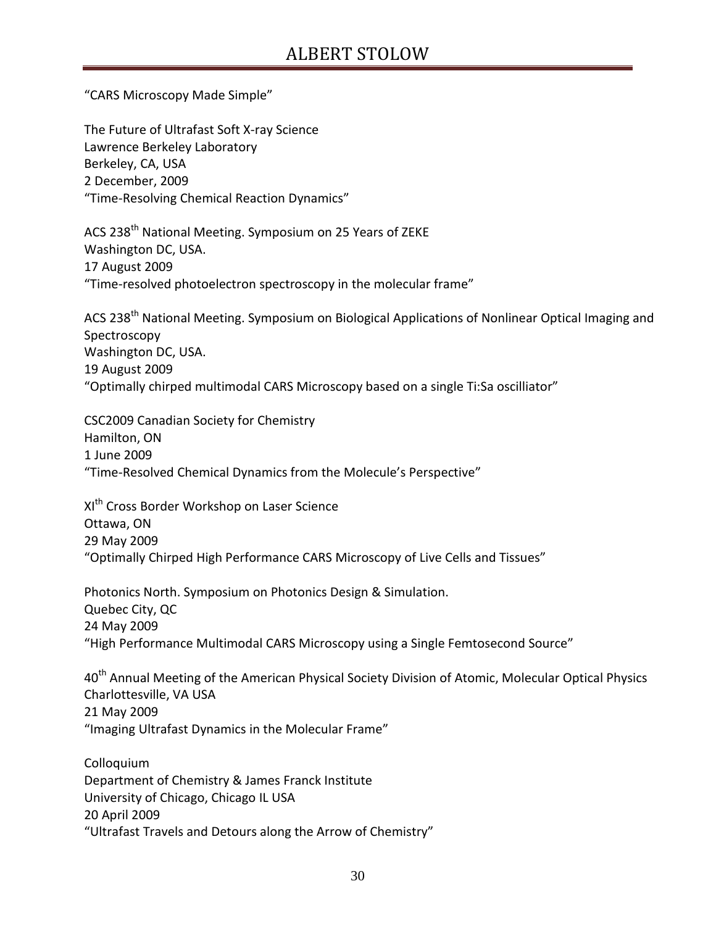"CARS Microscopy Made Simple"

The Future of Ultrafast Soft X-ray Science Lawrence Berkeley Laboratory Berkeley, CA, USA 2 December, 2009 "Time-Resolving Chemical Reaction Dynamics"

ACS 238<sup>th</sup> National Meeting. Symposium on 25 Years of ZEKE Washington DC, USA. 17 August 2009 "Time-resolved photoelectron spectroscopy in the molecular frame"

ACS 238<sup>th</sup> National Meeting. Symposium on Biological Applications of Nonlinear Optical Imaging and Spectroscopy Washington DC, USA. 19 August 2009 "Optimally chirped multimodal CARS Microscopy based on a single Ti:Sa oscilliator"

CSC2009 Canadian Society for Chemistry Hamilton, ON 1 June 2009 "Time-Resolved Chemical Dynamics from the Molecule's Perspective"

XI<sup>th</sup> Cross Border Workshop on Laser Science Ottawa, ON 29 May 2009 "Optimally Chirped High Performance CARS Microscopy of Live Cells and Tissues"

Photonics North. Symposium on Photonics Design & Simulation. Quebec City, QC 24 May 2009 "High Performance Multimodal CARS Microscopy using a Single Femtosecond Source"

40<sup>th</sup> Annual Meeting of the American Physical Society Division of Atomic, Molecular Optical Physics Charlottesville, VA USA 21 May 2009 "Imaging Ultrafast Dynamics in the Molecular Frame"

Colloquium Department of Chemistry & James Franck Institute University of Chicago, Chicago IL USA 20 April 2009 "Ultrafast Travels and Detours along the Arrow of Chemistry"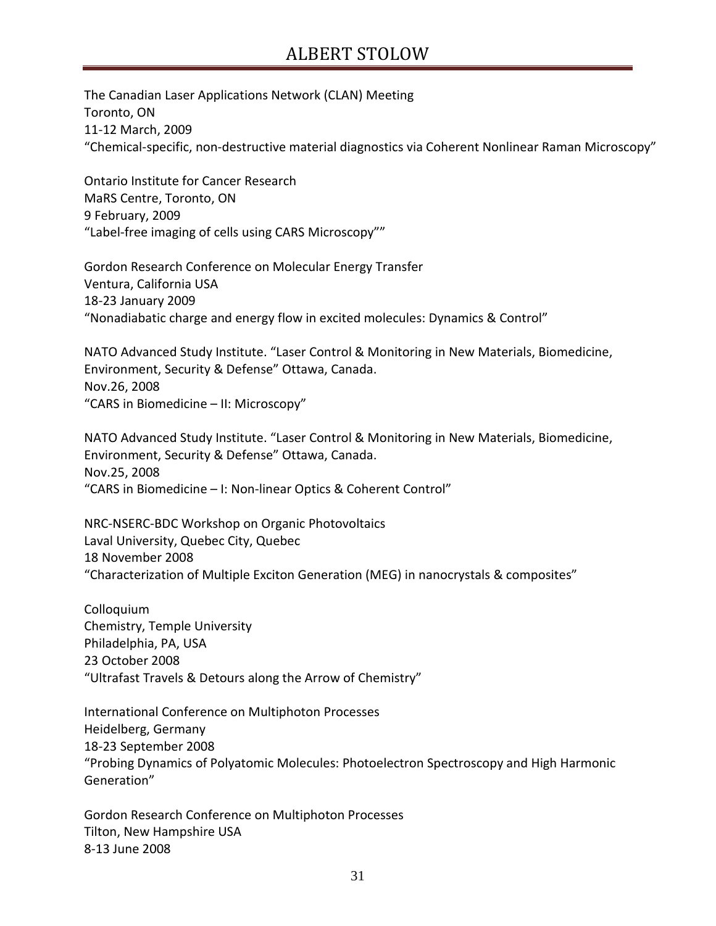The Canadian Laser Applications Network (CLAN) Meeting Toronto, ON 11-12 March, 2009 "Chemical-specific, non-destructive material diagnostics via Coherent Nonlinear Raman Microscopy"

Ontario Institute for Cancer Research MaRS Centre, Toronto, ON 9 February, 2009 "Label-free imaging of cells using CARS Microscopy""

Gordon Research Conference on Molecular Energy Transfer Ventura, California USA 18-23 January 2009 "Nonadiabatic charge and energy flow in excited molecules: Dynamics & Control"

NATO Advanced Study Institute. "Laser Control & Monitoring in New Materials, Biomedicine, Environment, Security & Defense" Ottawa, Canada. Nov.26, 2008 "CARS in Biomedicine – II: Microscopy"

NATO Advanced Study Institute. "Laser Control & Monitoring in New Materials, Biomedicine, Environment, Security & Defense" Ottawa, Canada. Nov.25, 2008 "CARS in Biomedicine – I: Non-linear Optics & Coherent Control"

NRC-NSERC-BDC Workshop on Organic Photovoltaics Laval University, Quebec City, Quebec 18 November 2008 "Characterization of Multiple Exciton Generation (MEG) in nanocrystals & composites"

Colloquium Chemistry, Temple University Philadelphia, PA, USA 23 October 2008 "Ultrafast Travels & Detours along the Arrow of Chemistry"

International Conference on Multiphoton Processes Heidelberg, Germany 18-23 September 2008 "Probing Dynamics of Polyatomic Molecules: Photoelectron Spectroscopy and High Harmonic Generation"

Gordon Research Conference on Multiphoton Processes Tilton, New Hampshire USA 8-13 June 2008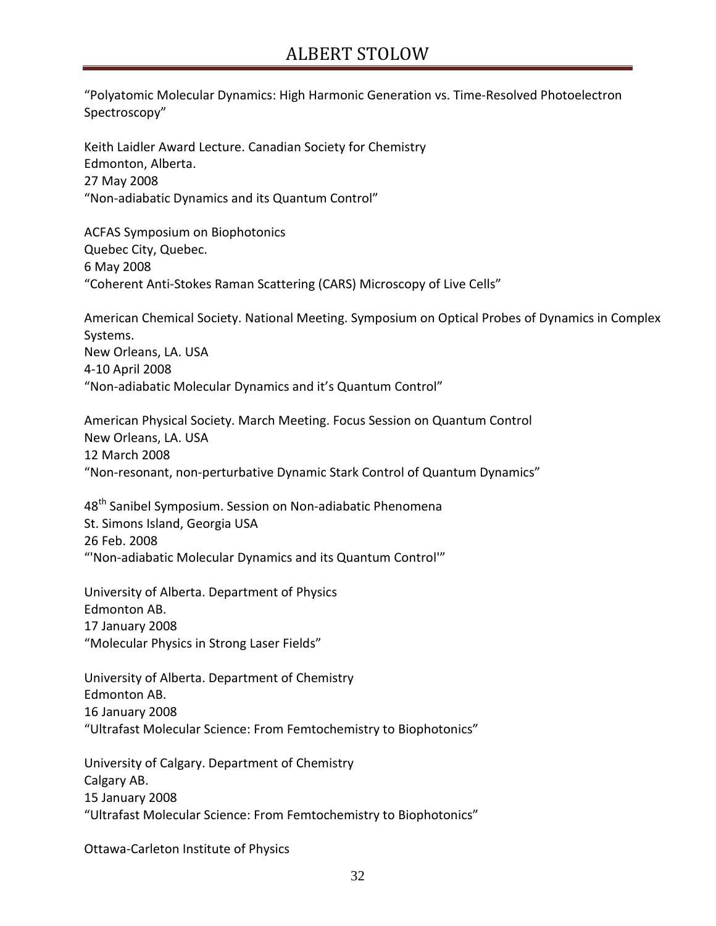"Polyatomic Molecular Dynamics: High Harmonic Generation vs. Time-Resolved Photoelectron Spectroscopy"

Keith Laidler Award Lecture. Canadian Society for Chemistry Edmonton, Alberta. 27 May 2008 "Non-adiabatic Dynamics and its Quantum Control"

ACFAS Symposium on Biophotonics Quebec City, Quebec. 6 May 2008 "Coherent Anti-Stokes Raman Scattering (CARS) Microscopy of Live Cells"

American Chemical Society. National Meeting. Symposium on Optical Probes of Dynamics in Complex Systems. New Orleans, LA. USA 4-10 April 2008 "Non-adiabatic Molecular Dynamics and it's Quantum Control"

American Physical Society. March Meeting. Focus Session on Quantum Control New Orleans, LA. USA 12 March 2008 "Non-resonant, non-perturbative Dynamic Stark Control of Quantum Dynamics"

48<sup>th</sup> Sanibel Symposium. Session on Non-adiabatic Phenomena St. Simons Island, Georgia USA 26 Feb. 2008 "'Non-adiabatic Molecular Dynamics and its Quantum Control'"

University of Alberta. Department of Physics Edmonton AB. 17 January 2008 "Molecular Physics in Strong Laser Fields"

University of Alberta. Department of Chemistry Edmonton AB. 16 January 2008 "Ultrafast Molecular Science: From Femtochemistry to Biophotonics"

University of Calgary. Department of Chemistry Calgary AB. 15 January 2008 "Ultrafast Molecular Science: From Femtochemistry to Biophotonics"

Ottawa-Carleton Institute of Physics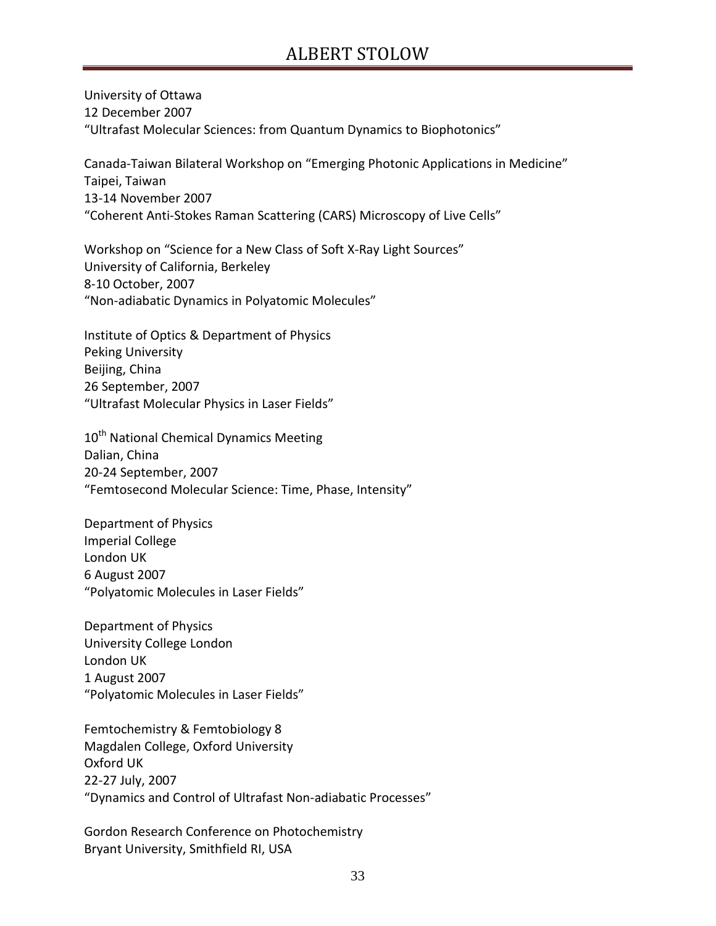University of Ottawa 12 December 2007 "Ultrafast Molecular Sciences: from Quantum Dynamics to Biophotonics"

Canada-Taiwan Bilateral Workshop on "Emerging Photonic Applications in Medicine" Taipei, Taiwan 13-14 November 2007 "Coherent Anti-Stokes Raman Scattering (CARS) Microscopy of Live Cells"

Workshop on "Science for a New Class of Soft X-Ray Light Sources" University of California, Berkeley 8-10 October, 2007 "Non-adiabatic Dynamics in Polyatomic Molecules"

Institute of Optics & Department of Physics Peking University Beijing, China 26 September, 2007 "Ultrafast Molecular Physics in Laser Fields"

10<sup>th</sup> National Chemical Dynamics Meeting Dalian, China 20-24 September, 2007 "Femtosecond Molecular Science: Time, Phase, Intensity"

Department of Physics Imperial College London UK 6 August 2007 "Polyatomic Molecules in Laser Fields"

Department of Physics University College London London UK 1 August 2007 "Polyatomic Molecules in Laser Fields"

Femtochemistry & Femtobiology 8 Magdalen College, Oxford University Oxford UK 22-27 July, 2007 "Dynamics and Control of Ultrafast Non-adiabatic Processes"

Gordon Research Conference on Photochemistry Bryant University, Smithfield RI, USA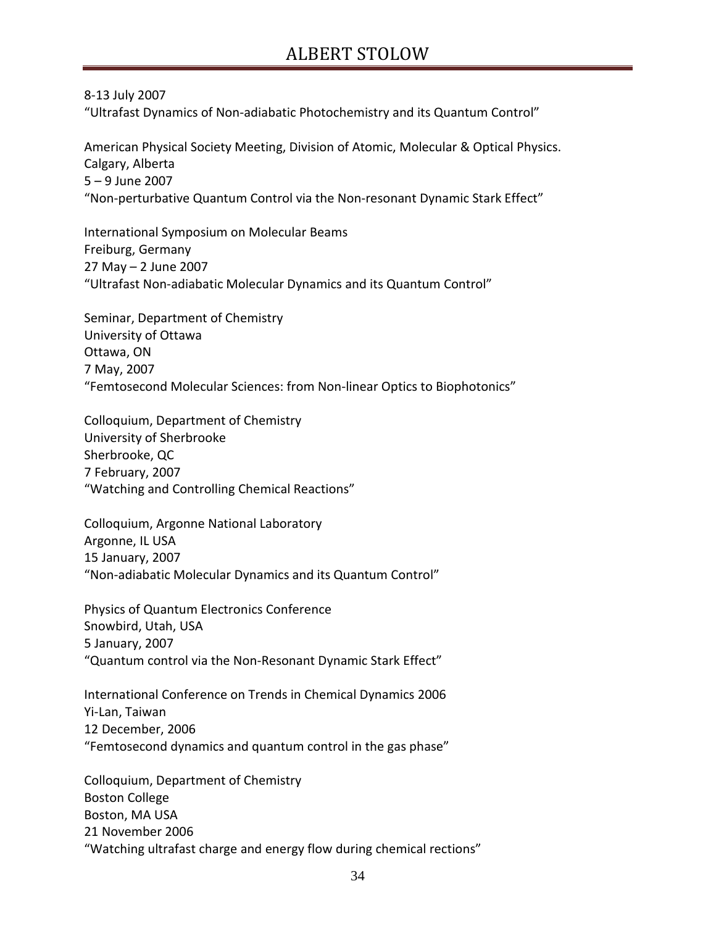8-13 July 2007 "Ultrafast Dynamics of Non-adiabatic Photochemistry and its Quantum Control"

American Physical Society Meeting, Division of Atomic, Molecular & Optical Physics. Calgary, Alberta 5 – 9 June 2007 "Non-perturbative Quantum Control via the Non-resonant Dynamic Stark Effect"

International Symposium on Molecular Beams Freiburg, Germany 27 May – 2 June 2007 "Ultrafast Non-adiabatic Molecular Dynamics and its Quantum Control"

Seminar, Department of Chemistry University of Ottawa Ottawa, ON 7 May, 2007 "Femtosecond Molecular Sciences: from Non-linear Optics to Biophotonics"

Colloquium, Department of Chemistry University of Sherbrooke Sherbrooke, QC 7 February, 2007 "Watching and Controlling Chemical Reactions"

Colloquium, Argonne National Laboratory Argonne, IL USA 15 January, 2007 "Non-adiabatic Molecular Dynamics and its Quantum Control"

Physics of Quantum Electronics Conference Snowbird, Utah, USA 5 January, 2007 "Quantum control via the Non-Resonant Dynamic Stark Effect"

International Conference on Trends in Chemical Dynamics 2006 Yi-Lan, Taiwan 12 December, 2006 "Femtosecond dynamics and quantum control in the gas phase"

Colloquium, Department of Chemistry Boston College Boston, MA USA 21 November 2006 "Watching ultrafast charge and energy flow during chemical rections"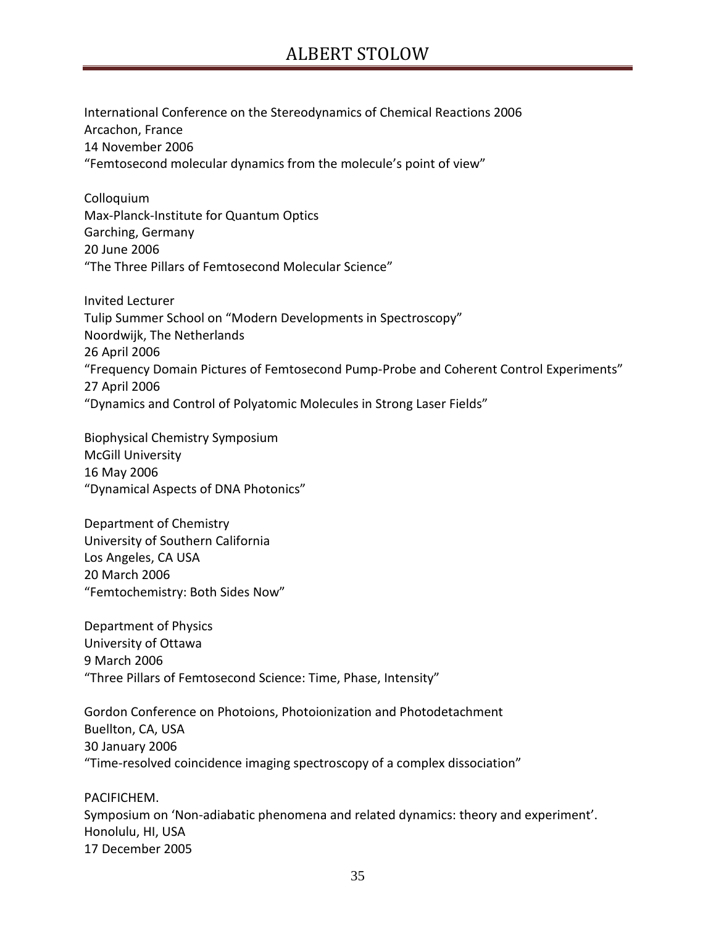International Conference on the Stereodynamics of Chemical Reactions 2006 Arcachon, France 14 November 2006 "Femtosecond molecular dynamics from the molecule's point of view"

Colloquium Max-Planck-Institute for Quantum Optics Garching, Germany 20 June 2006 "The Three Pillars of Femtosecond Molecular Science"

Invited Lecturer Tulip Summer School on "Modern Developments in Spectroscopy" Noordwijk, The Netherlands 26 April 2006 "Frequency Domain Pictures of Femtosecond Pump-Probe and Coherent Control Experiments" 27 April 2006 "Dynamics and Control of Polyatomic Molecules in Strong Laser Fields"

Biophysical Chemistry Symposium McGill University 16 May 2006 "Dynamical Aspects of DNA Photonics"

Department of Chemistry University of Southern California Los Angeles, CA USA 20 March 2006 "Femtochemistry: Both Sides Now"

Department of Physics University of Ottawa 9 March 2006 "Three Pillars of Femtosecond Science: Time, Phase, Intensity"

Gordon Conference on Photoions, Photoionization and Photodetachment Buellton, CA, USA 30 January 2006 "Time-resolved coincidence imaging spectroscopy of a complex dissociation"

PACIFICHEM. Symposium on 'Non-adiabatic phenomena and related dynamics: theory and experiment'. Honolulu, HI, USA 17 December 2005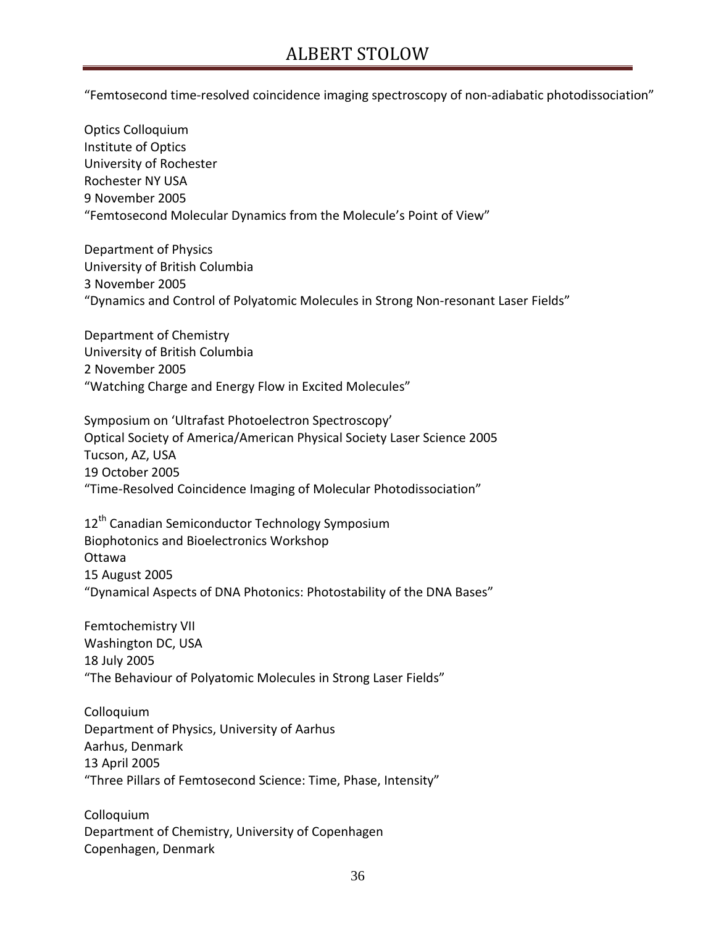"Femtosecond time-resolved coincidence imaging spectroscopy of non-adiabatic photodissociation"

Optics Colloquium Institute of Optics University of Rochester Rochester NY USA 9 November 2005 "Femtosecond Molecular Dynamics from the Molecule's Point of View"

Department of Physics University of British Columbia 3 November 2005 "Dynamics and Control of Polyatomic Molecules in Strong Non-resonant Laser Fields"

Department of Chemistry University of British Columbia 2 November 2005 "Watching Charge and Energy Flow in Excited Molecules"

Symposium on 'Ultrafast Photoelectron Spectroscopy' Optical Society of America/American Physical Society Laser Science 2005 Tucson, AZ, USA 19 October 2005 "Time-Resolved Coincidence Imaging of Molecular Photodissociation"

12<sup>th</sup> Canadian Semiconductor Technology Symposium Biophotonics and Bioelectronics Workshop Ottawa 15 August 2005 "Dynamical Aspects of DNA Photonics: Photostability of the DNA Bases"

Femtochemistry VII Washington DC, USA 18 July 2005 "The Behaviour of Polyatomic Molecules in Strong Laser Fields"

Colloquium Department of Physics, University of Aarhus Aarhus, Denmark 13 April 2005 "Three Pillars of Femtosecond Science: Time, Phase, Intensity"

Colloquium Department of Chemistry, University of Copenhagen Copenhagen, Denmark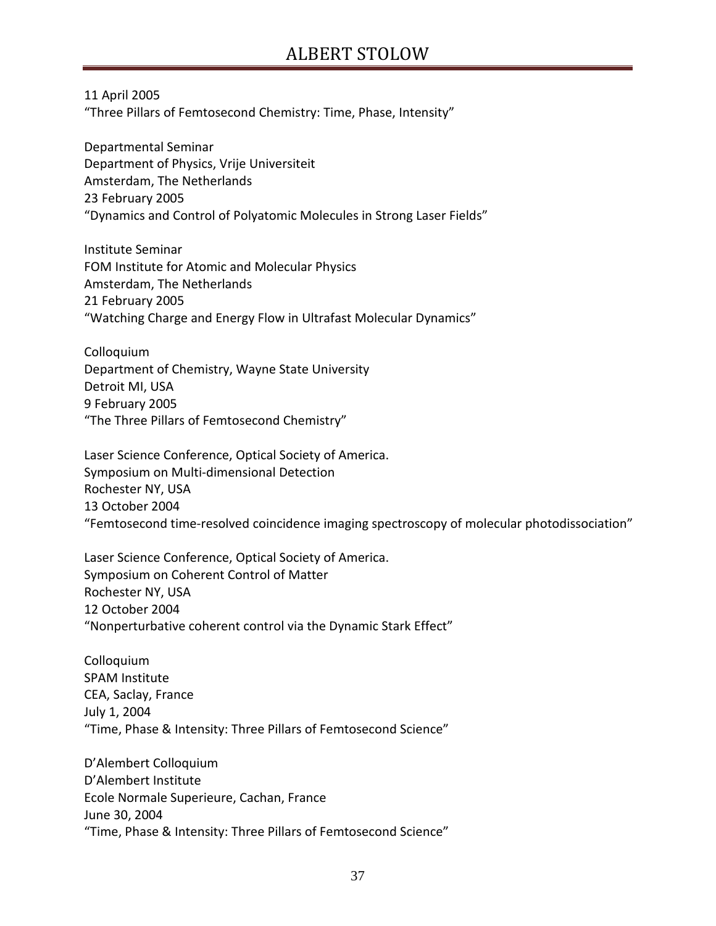11 April 2005

"Three Pillars of Femtosecond Chemistry: Time, Phase, Intensity"

Departmental Seminar Department of Physics, Vrije Universiteit Amsterdam, The Netherlands 23 February 2005 "Dynamics and Control of Polyatomic Molecules in Strong Laser Fields"

Institute Seminar FOM Institute for Atomic and Molecular Physics Amsterdam, The Netherlands 21 February 2005 "Watching Charge and Energy Flow in Ultrafast Molecular Dynamics"

Colloquium Department of Chemistry, Wayne State University Detroit MI, USA 9 February 2005 "The Three Pillars of Femtosecond Chemistry"

Laser Science Conference, Optical Society of America. Symposium on Multi-dimensional Detection Rochester NY, USA 13 October 2004 "Femtosecond time-resolved coincidence imaging spectroscopy of molecular photodissociation"

Laser Science Conference, Optical Society of America. Symposium on Coherent Control of Matter Rochester NY, USA 12 October 2004 "Nonperturbative coherent control via the Dynamic Stark Effect"

Colloquium SPAM Institute CEA, Saclay, France July 1, 2004 "Time, Phase & Intensity: Three Pillars of Femtosecond Science"

D'Alembert Colloquium D'Alembert Institute Ecole Normale Superieure, Cachan, France June 30, 2004 "Time, Phase & Intensity: Three Pillars of Femtosecond Science"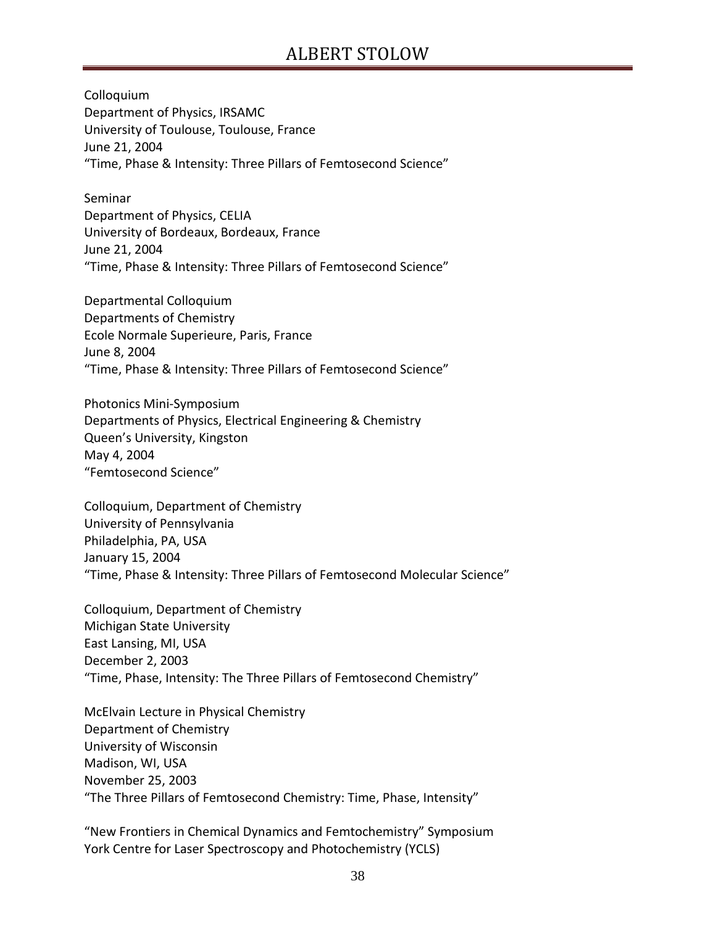Colloquium Department of Physics, IRSAMC University of Toulouse, Toulouse, France June 21, 2004 "Time, Phase & Intensity: Three Pillars of Femtosecond Science"

Seminar Department of Physics, CELIA University of Bordeaux, Bordeaux, France June 21, 2004 "Time, Phase & Intensity: Three Pillars of Femtosecond Science"

Departmental Colloquium Departments of Chemistry Ecole Normale Superieure, Paris, France June 8, 2004 "Time, Phase & Intensity: Three Pillars of Femtosecond Science"

Photonics Mini-Symposium Departments of Physics, Electrical Engineering & Chemistry Queen's University, Kingston May 4, 2004 "Femtosecond Science"

Colloquium, Department of Chemistry University of Pennsylvania Philadelphia, PA, USA January 15, 2004 "Time, Phase & Intensity: Three Pillars of Femtosecond Molecular Science"

Colloquium, Department of Chemistry Michigan State University East Lansing, MI, USA December 2, 2003 "Time, Phase, Intensity: The Three Pillars of Femtosecond Chemistry"

McElvain Lecture in Physical Chemistry Department of Chemistry University of Wisconsin Madison, WI, USA November 25, 2003 "The Three Pillars of Femtosecond Chemistry: Time, Phase, Intensity"

"New Frontiers in Chemical Dynamics and Femtochemistry" Symposium York Centre for Laser Spectroscopy and Photochemistry (YCLS)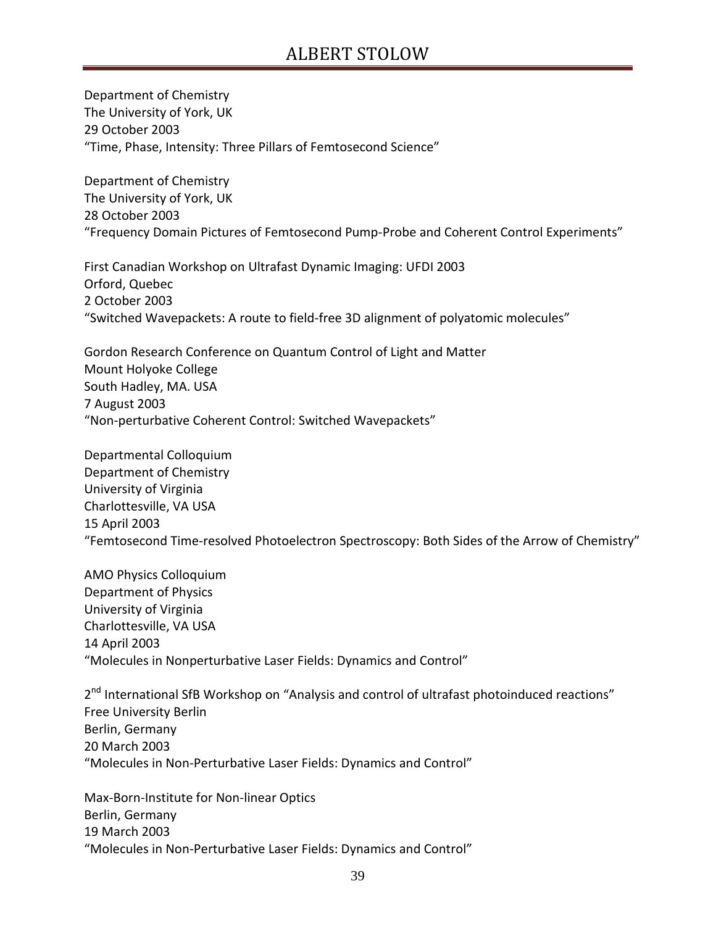Department of Chemistry The University of York, UK 29 October 2003 "Time, Phase, Intensity: Three Pillars of Femtosecond Science"

Department of Chemistry The University of York, UK 28 October 2003 "Frequency Domain Pictures of Femtosecond Pump-Probe and Coherent Control Experiments"

First Canadian Workshop on Ultrafast Dynamic Imaging: UFDI 2003 Orford, Quebec 2 October 2003 "Switched Wavepackets: A route to field-free 3D alignment of polyatomic molecules"

Gordon Research Conference on Quantum Control of Light and Matter Mount Holyoke College South Hadley, MA. USA 7 August 2003 "Non-perturbative Coherent Control: Switched Wavepackets"

Departmental Colloquium Department of Chemistry University of Virginia Charlottesville, VA USA 15 April 2003 "Femtosecond Time-resolved Photoelectron Spectroscopy: Both Sides of the Arrow of Chemistry"

AMO Physics Colloquium Department of Physics University of Virginia Charlottesville, VA USA 14 April 2003 "Molecules in Nonperturbative Laser Fields: Dynamics and Control"

2<sup>nd</sup> International SfB Workshop on "Analysis and control of ultrafast photoinduced reactions" Free University Berlin Berlin, Germany 20 March 2003 "Molecules in Non-Perturbative Laser Fields: Dynamics and Control"

Max-Born-Institute for Non-linear Optics Berlin, Germany 19 March 2003 "Molecules in Non-Perturbative Laser Fields: Dynamics and Control"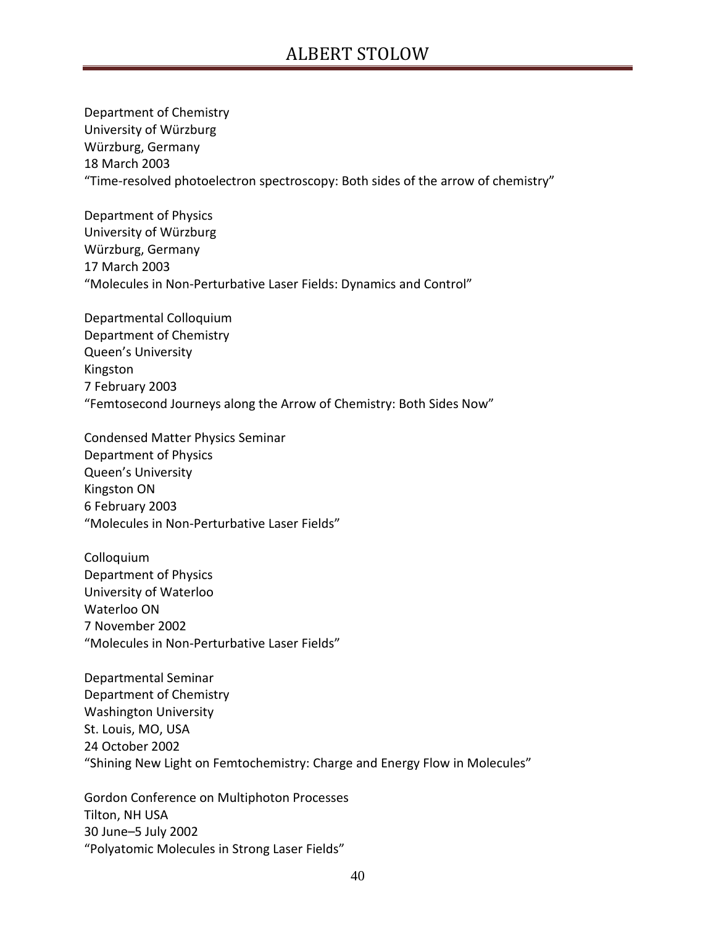Department of Chemistry University of Würzburg Würzburg, Germany 18 March 2003 "Time-resolved photoelectron spectroscopy: Both sides of the arrow of chemistry"

Department of Physics University of Würzburg Würzburg, Germany 17 March 2003 "Molecules in Non-Perturbative Laser Fields: Dynamics and Control"

Departmental Colloquium Department of Chemistry Queen's University Kingston 7 February 2003 "Femtosecond Journeys along the Arrow of Chemistry: Both Sides Now"

Condensed Matter Physics Seminar Department of Physics Queen's University Kingston ON 6 February 2003 "Molecules in Non-Perturbative Laser Fields"

Colloquium Department of Physics University of Waterloo Waterloo ON 7 November 2002 "Molecules in Non-Perturbative Laser Fields"

Departmental Seminar Department of Chemistry Washington University St. Louis, MO, USA 24 October 2002 "Shining New Light on Femtochemistry: Charge and Energy Flow in Molecules"

Gordon Conference on Multiphoton Processes Tilton, NH USA 30 June–5 July 2002 "Polyatomic Molecules in Strong Laser Fields"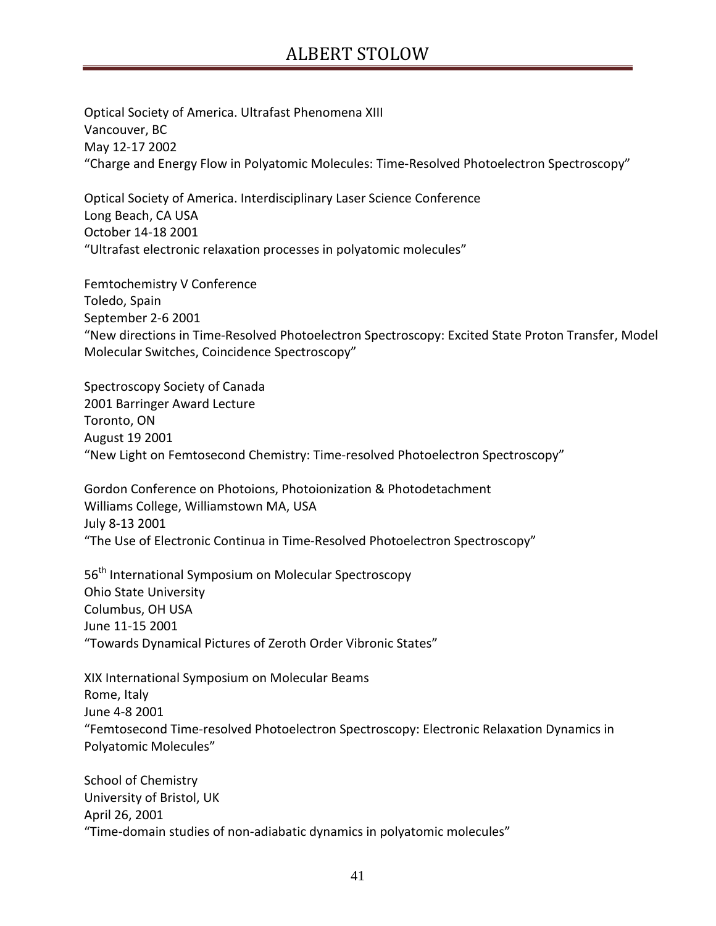Optical Society of America. Ultrafast Phenomena XIII Vancouver, BC May 12-17 2002 "Charge and Energy Flow in Polyatomic Molecules: Time-Resolved Photoelectron Spectroscopy"

Optical Society of America. Interdisciplinary Laser Science Conference Long Beach, CA USA October 14-18 2001 "Ultrafast electronic relaxation processes in polyatomic molecules"

Femtochemistry V Conference Toledo, Spain September 2-6 2001 "New directions in Time-Resolved Photoelectron Spectroscopy: Excited State Proton Transfer, Model Molecular Switches, Coincidence Spectroscopy"

Spectroscopy Society of Canada 2001 Barringer Award Lecture Toronto, ON August 19 2001 "New Light on Femtosecond Chemistry: Time-resolved Photoelectron Spectroscopy"

Gordon Conference on Photoions, Photoionization & Photodetachment Williams College, Williamstown MA, USA July 8-13 2001 "The Use of Electronic Continua in Time-Resolved Photoelectron Spectroscopy"

56<sup>th</sup> International Symposium on Molecular Spectroscopy Ohio State University Columbus, OH USA June 11-15 2001 "Towards Dynamical Pictures of Zeroth Order Vibronic States"

XIX International Symposium on Molecular Beams Rome, Italy June 4-8 2001 "Femtosecond Time-resolved Photoelectron Spectroscopy: Electronic Relaxation Dynamics in Polyatomic Molecules"

School of Chemistry University of Bristol, UK April 26, 2001 "Time-domain studies of non-adiabatic dynamics in polyatomic molecules"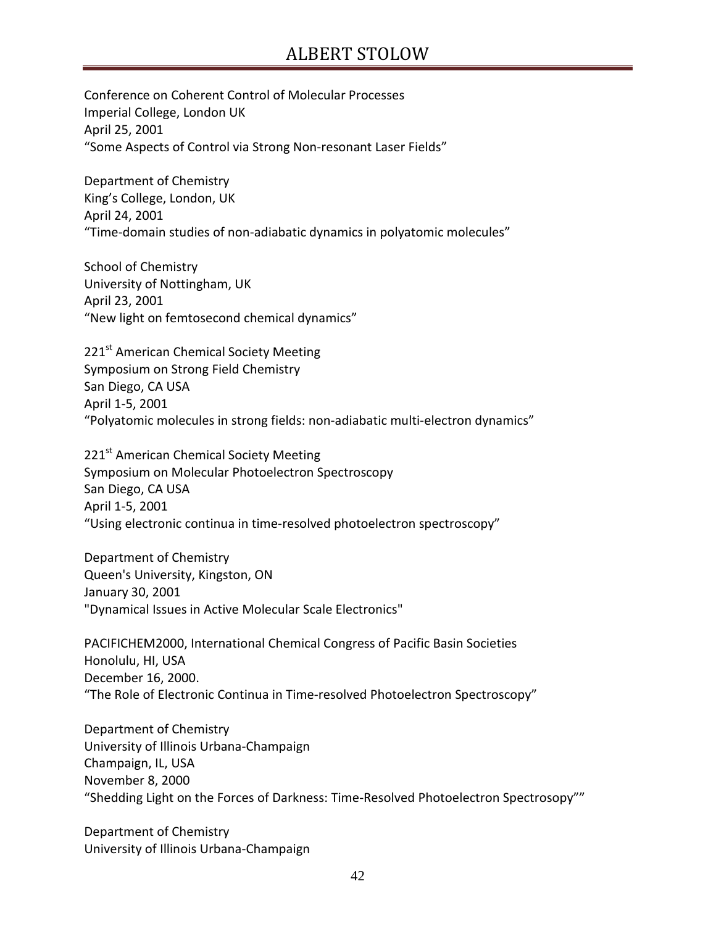Conference on Coherent Control of Molecular Processes Imperial College, London UK April 25, 2001 "Some Aspects of Control via Strong Non-resonant Laser Fields"

Department of Chemistry King's College, London, UK April 24, 2001 "Time-domain studies of non-adiabatic dynamics in polyatomic molecules"

School of Chemistry University of Nottingham, UK April 23, 2001 "New light on femtosecond chemical dynamics"

221<sup>st</sup> American Chemical Society Meeting Symposium on Strong Field Chemistry San Diego, CA USA April 1-5, 2001 "Polyatomic molecules in strong fields: non-adiabatic multi-electron dynamics"

221<sup>st</sup> American Chemical Society Meeting Symposium on Molecular Photoelectron Spectroscopy San Diego, CA USA April 1-5, 2001 "Using electronic continua in time-resolved photoelectron spectroscopy"

Department of Chemistry Queen's University, Kingston, ON January 30, 2001 "Dynamical Issues in Active Molecular Scale Electronics"

PACIFICHEM2000, International Chemical Congress of Pacific Basin Societies Honolulu, HI, USA December 16, 2000. "The Role of Electronic Continua in Time-resolved Photoelectron Spectroscopy"

Department of Chemistry University of Illinois Urbana-Champaign Champaign, IL, USA November 8, 2000 "Shedding Light on the Forces of Darkness: Time-Resolved Photoelectron Spectrosopy""

Department of Chemistry University of Illinois Urbana-Champaign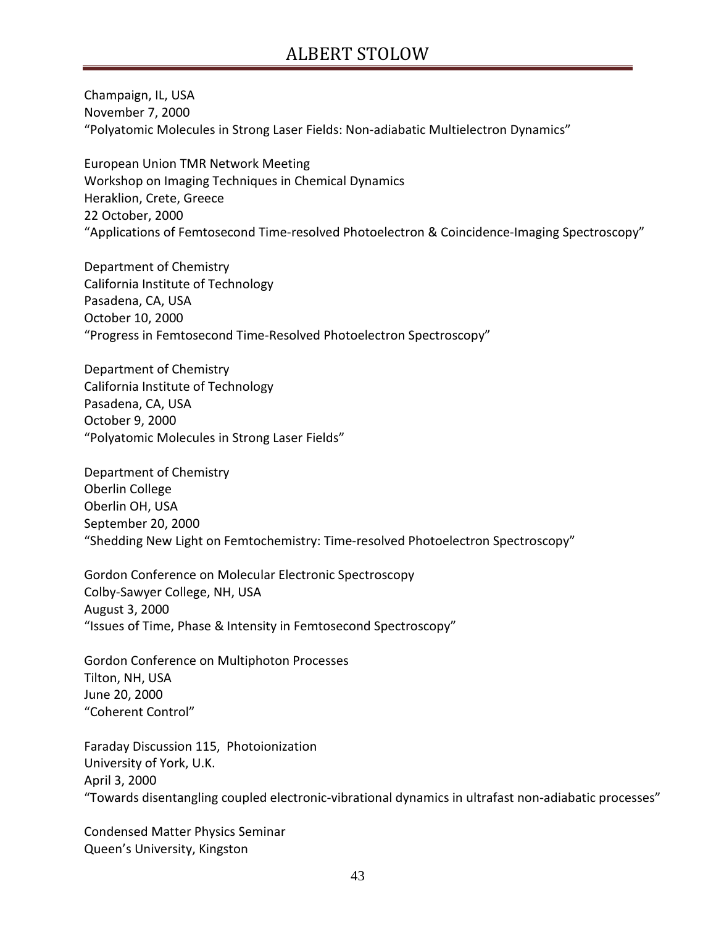Champaign, IL, USA November 7, 2000 "Polyatomic Molecules in Strong Laser Fields: Non-adiabatic Multielectron Dynamics"

European Union TMR Network Meeting Workshop on Imaging Techniques in Chemical Dynamics Heraklion, Crete, Greece 22 October, 2000 "Applications of Femtosecond Time-resolved Photoelectron & Coincidence-Imaging Spectroscopy"

Department of Chemistry California Institute of Technology Pasadena, CA, USA October 10, 2000 "Progress in Femtosecond Time-Resolved Photoelectron Spectroscopy"

Department of Chemistry California Institute of Technology Pasadena, CA, USA October 9, 2000 "Polyatomic Molecules in Strong Laser Fields"

Department of Chemistry Oberlin College Oberlin OH, USA September 20, 2000 "Shedding New Light on Femtochemistry: Time-resolved Photoelectron Spectroscopy"

Gordon Conference on Molecular Electronic Spectroscopy Colby-Sawyer College, NH, USA August 3, 2000 "Issues of Time, Phase & Intensity in Femtosecond Spectroscopy"

Gordon Conference on Multiphoton Processes Tilton, NH, USA June 20, 2000 "Coherent Control"

Faraday Discussion 115, Photoionization University of York, U.K. April 3, 2000 "Towards disentangling coupled electronic-vibrational dynamics in ultrafast non-adiabatic processes"

Condensed Matter Physics Seminar Queen's University, Kingston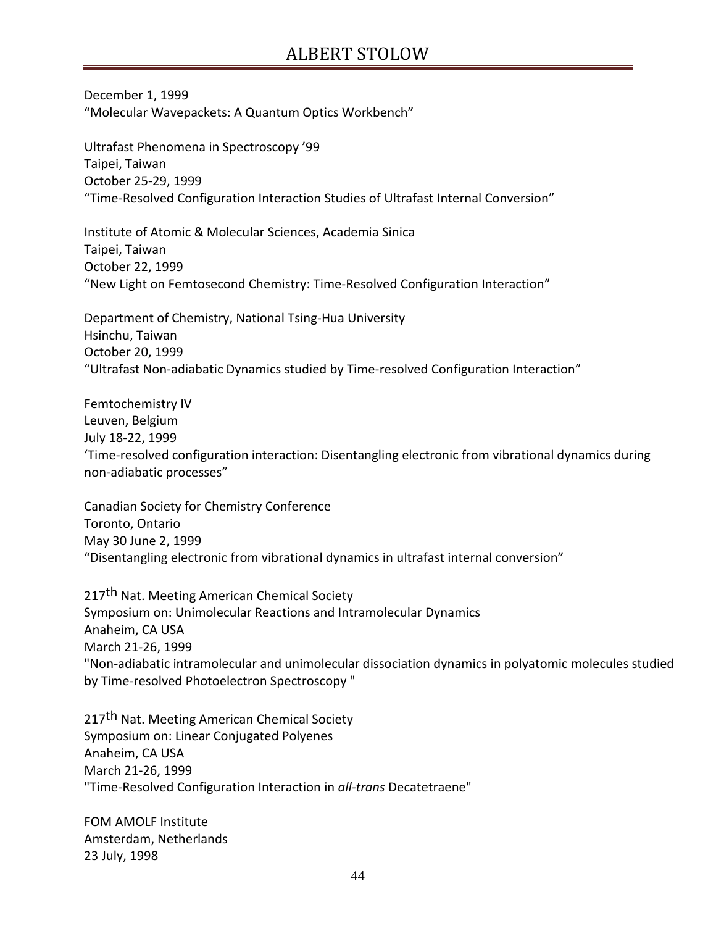December 1, 1999 "Molecular Wavepackets: A Quantum Optics Workbench"

Ultrafast Phenomena in Spectroscopy '99 Taipei, Taiwan October 25-29, 1999 "Time-Resolved Configuration Interaction Studies of Ultrafast Internal Conversion"

Institute of Atomic & Molecular Sciences, Academia Sinica Taipei, Taiwan October 22, 1999 "New Light on Femtosecond Chemistry: Time-Resolved Configuration Interaction"

Department of Chemistry, National Tsing-Hua University Hsinchu, Taiwan October 20, 1999 "Ultrafast Non-adiabatic Dynamics studied by Time-resolved Configuration Interaction"

Femtochemistry IV Leuven, Belgium July 18-22, 1999 'Time-resolved configuration interaction: Disentangling electronic from vibrational dynamics during non-adiabatic processes"

Canadian Society for Chemistry Conference Toronto, Ontario May 30 June 2, 1999 "Disentangling electronic from vibrational dynamics in ultrafast internal conversion"

217<sup>th</sup> Nat. Meeting American Chemical Society Symposium on: Unimolecular Reactions and Intramolecular Dynamics Anaheim, CA USA March 21-26, 1999 "Non-adiabatic intramolecular and unimolecular dissociation dynamics in polyatomic molecules studied by Time-resolved Photoelectron Spectroscopy "

217<sup>th</sup> Nat. Meeting American Chemical Society Symposium on: Linear Conjugated Polyenes Anaheim, CA USA March 21-26, 1999 "Time-Resolved Configuration Interaction in *all-trans* Decatetraene"

FOM AMOLF Institute Amsterdam, Netherlands 23 July, 1998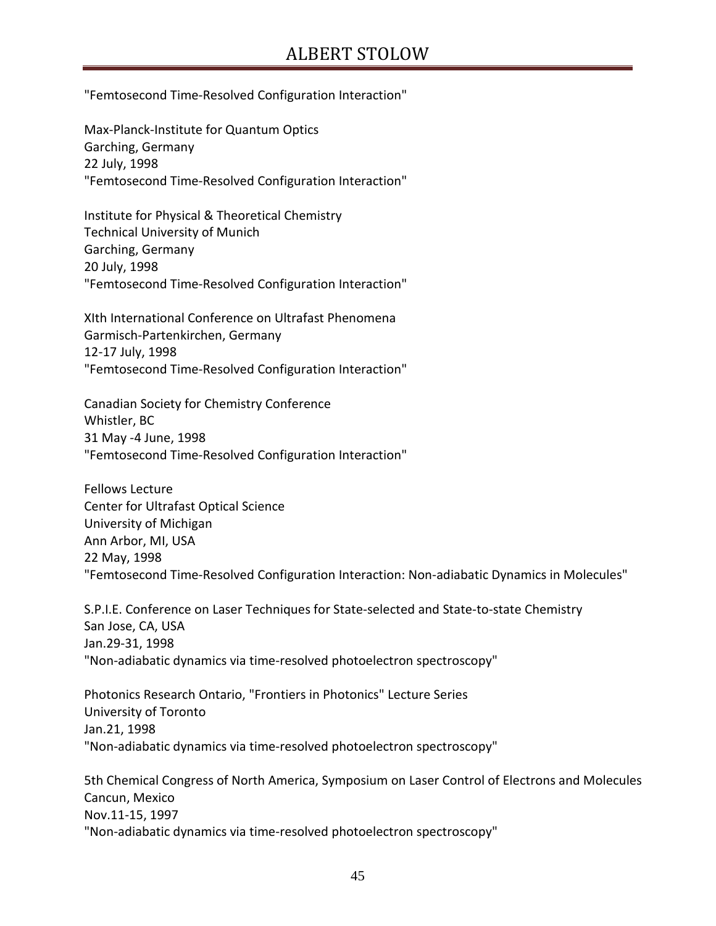"Femtosecond Time-Resolved Configuration Interaction"

Max-Planck-Institute for Quantum Optics Garching, Germany 22 July, 1998 "Femtosecond Time-Resolved Configuration Interaction"

Institute for Physical & Theoretical Chemistry Technical University of Munich Garching, Germany 20 July, 1998 "Femtosecond Time-Resolved Configuration Interaction"

XIth International Conference on Ultrafast Phenomena Garmisch-Partenkirchen, Germany 12-17 July, 1998 "Femtosecond Time-Resolved Configuration Interaction"

Canadian Society for Chemistry Conference Whistler, BC 31 May -4 June, 1998 "Femtosecond Time-Resolved Configuration Interaction"

Fellows Lecture Center for Ultrafast Optical Science University of Michigan Ann Arbor, MI, USA 22 May, 1998 "Femtosecond Time-Resolved Configuration Interaction: Non-adiabatic Dynamics in Molecules"

S.P.I.E. Conference on Laser Techniques for State-selected and State-to-state Chemistry San Jose, CA, USA Jan.29-31, 1998 "Non-adiabatic dynamics via time-resolved photoelectron spectroscopy"

Photonics Research Ontario, "Frontiers in Photonics" Lecture Series University of Toronto Jan.21, 1998 "Non-adiabatic dynamics via time-resolved photoelectron spectroscopy"

5th Chemical Congress of North America, Symposium on Laser Control of Electrons and Molecules Cancun, Mexico Nov.11-15, 1997 "Non-adiabatic dynamics via time-resolved photoelectron spectroscopy"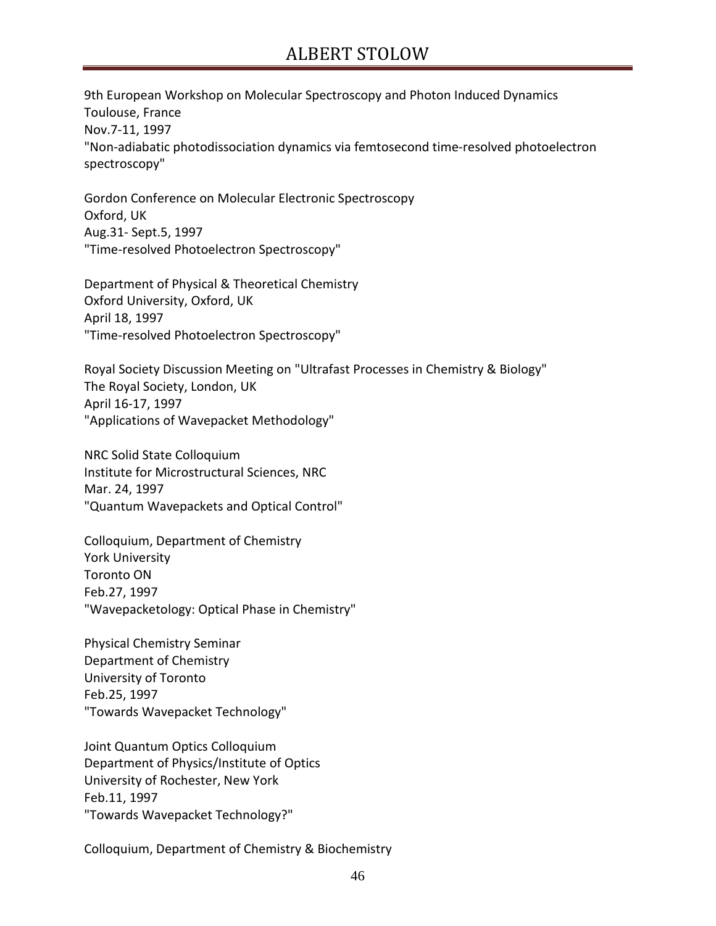9th European Workshop on Molecular Spectroscopy and Photon Induced Dynamics Toulouse, France Nov.7-11, 1997 "Non-adiabatic photodissociation dynamics via femtosecond time-resolved photoelectron spectroscopy"

Gordon Conference on Molecular Electronic Spectroscopy Oxford, UK Aug.31- Sept.5, 1997 "Time-resolved Photoelectron Spectroscopy"

Department of Physical & Theoretical Chemistry Oxford University, Oxford, UK April 18, 1997 "Time-resolved Photoelectron Spectroscopy"

Royal Society Discussion Meeting on "Ultrafast Processes in Chemistry & Biology" The Royal Society, London, UK April 16-17, 1997 "Applications of Wavepacket Methodology"

NRC Solid State Colloquium Institute for Microstructural Sciences, NRC Mar. 24, 1997 "Quantum Wavepackets and Optical Control"

Colloquium, Department of Chemistry York University Toronto ON Feb.27, 1997 "Wavepacketology: Optical Phase in Chemistry"

Physical Chemistry Seminar Department of Chemistry University of Toronto Feb.25, 1997 "Towards Wavepacket Technology"

Joint Quantum Optics Colloquium Department of Physics/Institute of Optics University of Rochester, New York Feb.11, 1997 "Towards Wavepacket Technology?"

Colloquium, Department of Chemistry & Biochemistry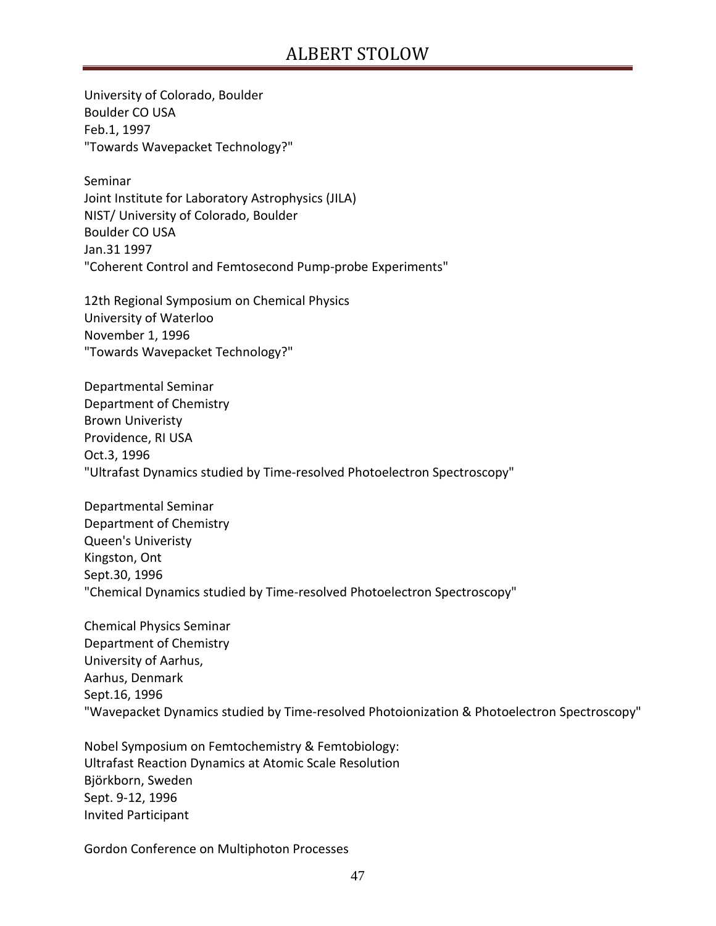University of Colorado, Boulder Boulder CO USA Feb.1, 1997 "Towards Wavepacket Technology?"

Seminar Joint Institute for Laboratory Astrophysics (JILA) NIST/ University of Colorado, Boulder Boulder CO USA Jan.31 1997 "Coherent Control and Femtosecond Pump-probe Experiments"

12th Regional Symposium on Chemical Physics University of Waterloo November 1, 1996 "Towards Wavepacket Technology?"

Departmental Seminar Department of Chemistry Brown Univeristy Providence, RI USA Oct.3, 1996 "Ultrafast Dynamics studied by Time-resolved Photoelectron Spectroscopy"

Departmental Seminar Department of Chemistry Queen's Univeristy Kingston, Ont Sept.30, 1996 "Chemical Dynamics studied by Time-resolved Photoelectron Spectroscopy"

Chemical Physics Seminar Department of Chemistry University of Aarhus, Aarhus, Denmark Sept.16, 1996 "Wavepacket Dynamics studied by Time-resolved Photoionization & Photoelectron Spectroscopy"

Nobel Symposium on Femtochemistry & Femtobiology: Ultrafast Reaction Dynamics at Atomic Scale Resolution Björkborn, Sweden Sept. 9-12, 1996 Invited Participant

Gordon Conference on Multiphoton Processes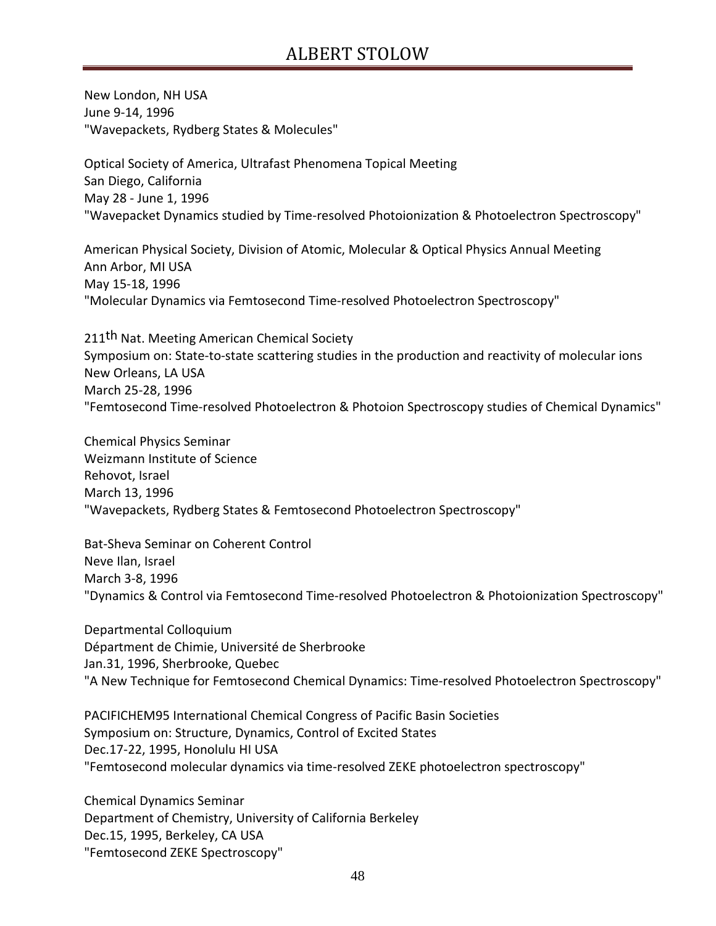New London, NH USA June 9-14, 1996 "Wavepackets, Rydberg States & Molecules"

Optical Society of America, Ultrafast Phenomena Topical Meeting San Diego, California May 28 - June 1, 1996 "Wavepacket Dynamics studied by Time-resolved Photoionization & Photoelectron Spectroscopy"

American Physical Society, Division of Atomic, Molecular & Optical Physics Annual Meeting Ann Arbor, MI USA May 15-18, 1996 "Molecular Dynamics via Femtosecond Time-resolved Photoelectron Spectroscopy"

211<sup>th</sup> Nat. Meeting American Chemical Society Symposium on: State-to-state scattering studies in the production and reactivity of molecular ions New Orleans, LA USA March 25-28, 1996 "Femtosecond Time-resolved Photoelectron & Photoion Spectroscopy studies of Chemical Dynamics"

Chemical Physics Seminar Weizmann Institute of Science Rehovot, Israel March 13, 1996 "Wavepackets, Rydberg States & Femtosecond Photoelectron Spectroscopy"

Bat-Sheva Seminar on Coherent Control Neve Ilan, Israel March 3-8, 1996 "Dynamics & Control via Femtosecond Time-resolved Photoelectron & Photoionization Spectroscopy"

Departmental Colloquium Départment de Chimie, Université de Sherbrooke Jan.31, 1996, Sherbrooke, Quebec "A New Technique for Femtosecond Chemical Dynamics: Time-resolved Photoelectron Spectroscopy"

PACIFICHEM95 International Chemical Congress of Pacific Basin Societies Symposium on: Structure, Dynamics, Control of Excited States Dec.17-22, 1995, Honolulu HI USA "Femtosecond molecular dynamics via time-resolved ZEKE photoelectron spectroscopy"

Chemical Dynamics Seminar Department of Chemistry, University of California Berkeley Dec.15, 1995, Berkeley, CA USA "Femtosecond ZEKE Spectroscopy"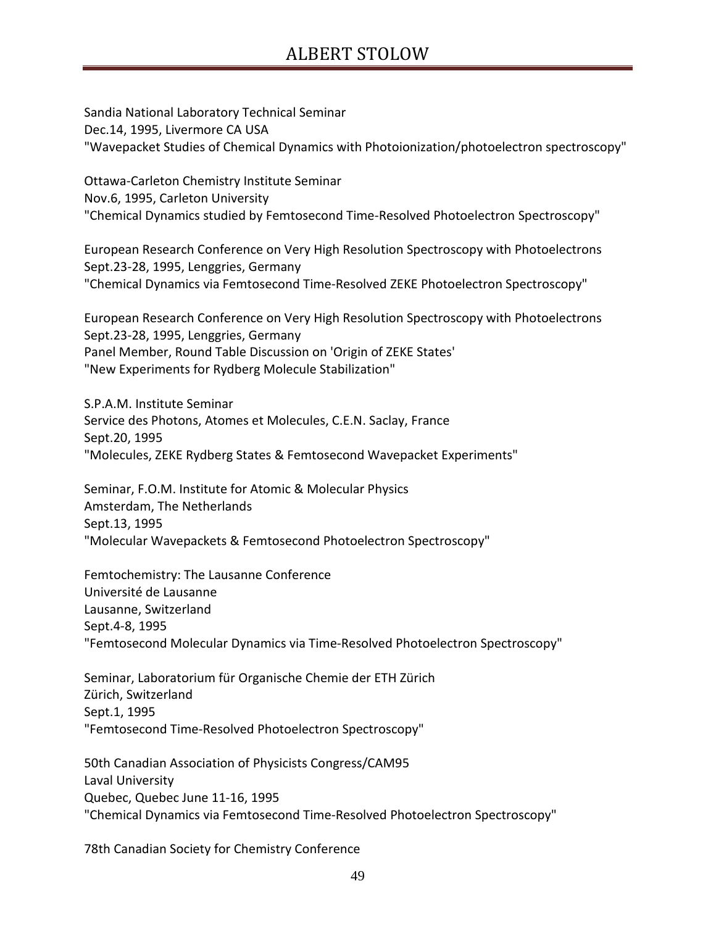Sandia National Laboratory Technical Seminar Dec.14, 1995, Livermore CA USA "Wavepacket Studies of Chemical Dynamics with Photoionization/photoelectron spectroscopy"

Ottawa-Carleton Chemistry Institute Seminar Nov.6, 1995, Carleton University "Chemical Dynamics studied by Femtosecond Time-Resolved Photoelectron Spectroscopy"

European Research Conference on Very High Resolution Spectroscopy with Photoelectrons Sept.23-28, 1995, Lenggries, Germany "Chemical Dynamics via Femtosecond Time-Resolved ZEKE Photoelectron Spectroscopy"

European Research Conference on Very High Resolution Spectroscopy with Photoelectrons Sept.23-28, 1995, Lenggries, Germany Panel Member, Round Table Discussion on 'Origin of ZEKE States' "New Experiments for Rydberg Molecule Stabilization"

S.P.A.M. Institute Seminar Service des Photons, Atomes et Molecules, C.E.N. Saclay, France Sept.20, 1995 "Molecules, ZEKE Rydberg States & Femtosecond Wavepacket Experiments"

Seminar, F.O.M. Institute for Atomic & Molecular Physics Amsterdam, The Netherlands Sept.13, 1995 "Molecular Wavepackets & Femtosecond Photoelectron Spectroscopy"

Femtochemistry: The Lausanne Conference Université de Lausanne Lausanne, Switzerland Sept.4-8, 1995 "Femtosecond Molecular Dynamics via Time-Resolved Photoelectron Spectroscopy"

Seminar, Laboratorium für Organische Chemie der ETH Zürich Zürich, Switzerland Sept.1, 1995 "Femtosecond Time-Resolved Photoelectron Spectroscopy"

50th Canadian Association of Physicists Congress/CAM95 Laval University Quebec, Quebec June 11-16, 1995 "Chemical Dynamics via Femtosecond Time-Resolved Photoelectron Spectroscopy"

78th Canadian Society for Chemistry Conference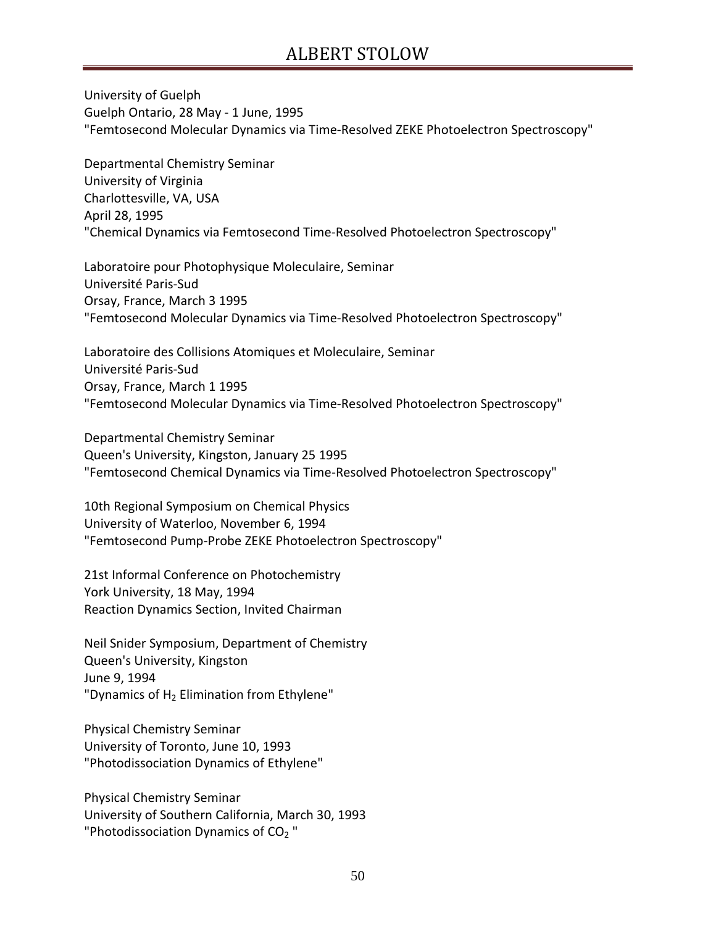University of Guelph Guelph Ontario, 28 May - 1 June, 1995 "Femtosecond Molecular Dynamics via Time-Resolved ZEKE Photoelectron Spectroscopy"

Departmental Chemistry Seminar University of Virginia Charlottesville, VA, USA April 28, 1995 "Chemical Dynamics via Femtosecond Time-Resolved Photoelectron Spectroscopy"

Laboratoire pour Photophysique Moleculaire, Seminar Université Paris-Sud Orsay, France, March 3 1995 "Femtosecond Molecular Dynamics via Time-Resolved Photoelectron Spectroscopy"

Laboratoire des Collisions Atomiques et Moleculaire, Seminar Université Paris-Sud Orsay, France, March 1 1995 "Femtosecond Molecular Dynamics via Time-Resolved Photoelectron Spectroscopy"

Departmental Chemistry Seminar Queen's University, Kingston, January 25 1995 "Femtosecond Chemical Dynamics via Time-Resolved Photoelectron Spectroscopy"

10th Regional Symposium on Chemical Physics University of Waterloo, November 6, 1994 "Femtosecond Pump-Probe ZEKE Photoelectron Spectroscopy"

21st Informal Conference on Photochemistry York University, 18 May, 1994 Reaction Dynamics Section, Invited Chairman

Neil Snider Symposium, Department of Chemistry Queen's University, Kingston June 9, 1994 "Dynamics of  $H_2$  Elimination from Ethylene"

Physical Chemistry Seminar University of Toronto, June 10, 1993 "Photodissociation Dynamics of Ethylene"

Physical Chemistry Seminar University of Southern California, March 30, 1993 "Photodissociation Dynamics of  $CO<sub>2</sub>$ "